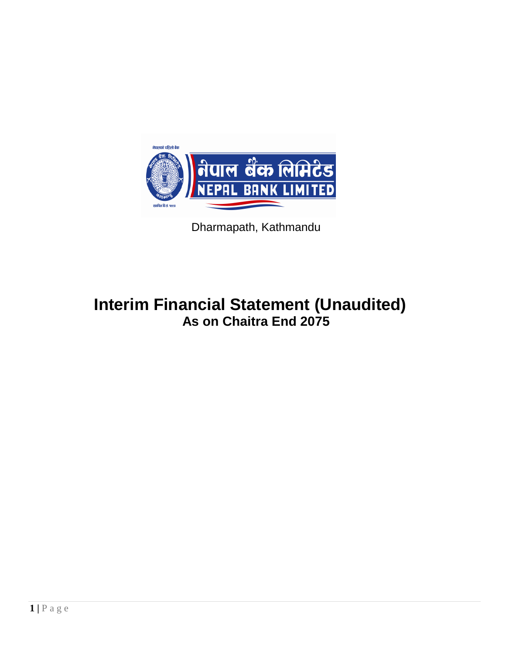

Dharmapath, Kathmandu

# **Interim Financial Statement (Unaudited) As on Chaitra End 2075**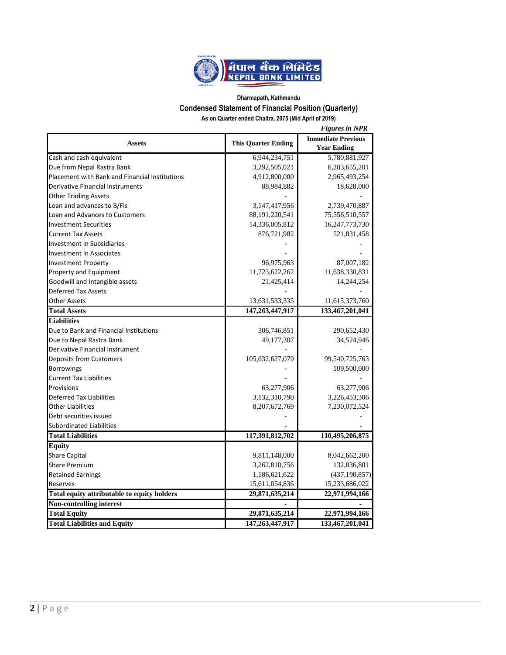

#### **Dharmapath, Kathmandu Condensed Statement of Financial Position (Quarterly) As on Quarter ended Chaitra, 2075 (Mid April of 2019)**

|                                                 |                            | <b>Figures in NPR</b>                           |  |
|-------------------------------------------------|----------------------------|-------------------------------------------------|--|
| <b>Assets</b>                                   | <b>This Quarter Ending</b> | <b>Immediate Previous</b><br><b>Year Ending</b> |  |
| Cash and cash equivalent                        | 6,944,234,751              | 5,780,881,927                                   |  |
| Due from Nepal Rastra Bank                      | 3,292,505,021              | 6,283,655,201                                   |  |
| Placement with Bank and Financial Institutions  | 4,912,800,000              | 2,965,493,254                                   |  |
| Derivative Financial Instruments                | 88,984,882                 | 18,628,000                                      |  |
| <b>Other Trading Assets</b>                     |                            |                                                 |  |
| Loan and advances to B/FIs                      | 3,147,417,956              | 2,739,470,887                                   |  |
| Loan and Advances to Customers                  | 88, 191, 220, 541          | 75,556,510,557                                  |  |
| <b>Investment Securities</b>                    | 14,336,005,812             | 16,247,773,730                                  |  |
| <b>Current Tax Assets</b>                       | 876,721,982                | 521,831,458                                     |  |
| <b>Investment in Subsidiaries</b>               |                            |                                                 |  |
| <b>Investment in Associates</b>                 |                            |                                                 |  |
| <b>Investment Property</b>                      | 96,975,963                 | 87,007,182                                      |  |
| Property and Equipment                          | 11,723,622,262             | 11,638,330,831                                  |  |
| Goodwill and Intangible assets                  | 21,425,414                 | 14,244,254                                      |  |
| <b>Deferred Tax Assets</b>                      |                            |                                                 |  |
| <b>Other Assets</b>                             | 13,631,533,335             | 11,613,373,760                                  |  |
| <b>Total Assets</b>                             | 147, 263, 447, 917         | 133,467,201,041                                 |  |
| <b>Liabilities</b>                              |                            |                                                 |  |
| Due to Bank and Financial Institutions          | 306,746,851                | 290,652,430                                     |  |
| Due to Nepal Rastra Bank                        | 49,177,307                 | 34,524,946                                      |  |
| Derivative Financial Instrument                 |                            |                                                 |  |
| Deposits from Customers                         | 105,632,627,079            | 99,540,725,763                                  |  |
| Borrowings                                      |                            | 109,500,000                                     |  |
| <b>Current Tax Liabilities</b>                  |                            |                                                 |  |
| Provisions                                      | 63,277,906                 | 63,277,906                                      |  |
| <b>Deferred Tax Liabilities</b>                 | 3,132,310,790              | 3,226,453,306                                   |  |
| <b>Other Liabilities</b>                        | 8,207,672,769              | 7,230,072,524                                   |  |
| Debt securities issued                          |                            |                                                 |  |
| <b>Subordinated Liabilities</b>                 |                            |                                                 |  |
| <b>Total Liabilities</b>                        | 117,391,812,702            | 110,495,206,875                                 |  |
| <b>Equity</b>                                   |                            |                                                 |  |
| <b>Share Capital</b>                            | 9,811,148,000              | 8,042,662,200                                   |  |
| <b>Share Premium</b>                            | 3,262,810,756              | 132,836,801                                     |  |
| <b>Retained Earnings</b>                        | 1,186,621,622              | (437, 190, 857)                                 |  |
| Reserves                                        | 15,611,054,836             | 15,233,686,022                                  |  |
| Total equity attributable to equity holders     | 29,871,635,214             | 22,971,994,166                                  |  |
|                                                 |                            |                                                 |  |
|                                                 |                            |                                                 |  |
| Non-controlling interest<br><b>Total Equity</b> | 29,871,635,214             | 22,971,994,166                                  |  |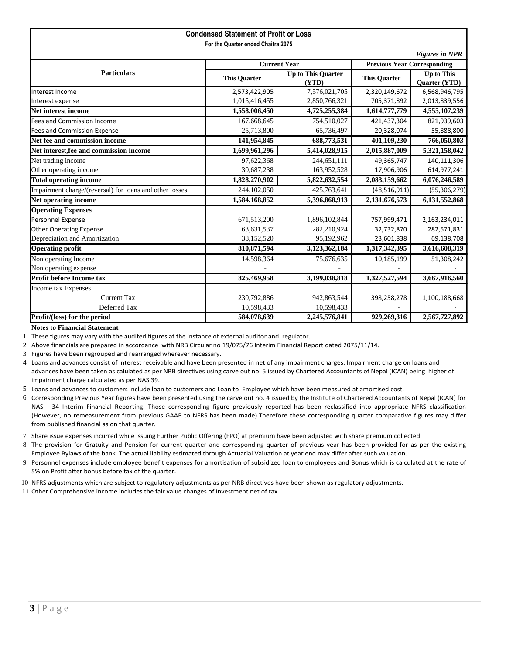|                                                         | <b>Condensed Statement of Profit or Loss</b> |                                    |                          |                                    |  |  |  |
|---------------------------------------------------------|----------------------------------------------|------------------------------------|--------------------------|------------------------------------|--|--|--|
|                                                         | For the Quarter ended Chaitra 2075           |                                    |                          |                                    |  |  |  |
|                                                         |                                              |                                    |                          | <b>Figures in NPR</b>              |  |  |  |
|                                                         | <b>Current Year</b>                          |                                    |                          | <b>Previous Year Corresponding</b> |  |  |  |
| <b>Particulars</b>                                      | <b>This Quarter</b>                          | <b>Up to This Quarter</b><br>(YTD) | <b>This Quarter</b>      | <b>Up to This</b><br>Quarter (YTD) |  |  |  |
| Interest Income                                         | 2,573,422,905                                | 7,576,021,705                      | 2,320,149,672            | 6,568,946,795                      |  |  |  |
| Interest expense                                        | 1,015,416,455                                | 2,850,766,321                      | 705,371,892              | 2,013,839,556                      |  |  |  |
| <b>Net interest income</b>                              | 1,558,006,450                                | 4,725,255,384                      | 1,614,777,779            | 4,555,107,239                      |  |  |  |
| <b>Fees and Commission Income</b>                       | 167,668,645                                  | 754,510,027                        | 421,437,304              | 821,939,603                        |  |  |  |
| <b>Fees and Commission Expense</b>                      | 25,713,800                                   | 65,736,497                         | 20,328,074               | 55,888,800                         |  |  |  |
| Net fee and commission income                           | 141,954,845                                  | 688,773,531                        | $\overline{401,109,230}$ | 766,050,803                        |  |  |  |
| Net interest, fee and commission income                 | 1,699,961,296                                | 5,414,028,915                      | 2,015,887,009            | 5,321,158,042                      |  |  |  |
| Net trading income                                      | 97,622,368                                   | 244,651,111                        | 49,365,747               | 140,111,306                        |  |  |  |
| Other operating income                                  | 30,687,238                                   | 163,952,528                        | 17,906,906               | 614,977,241                        |  |  |  |
| <b>Total operating income</b>                           | 1,828,270,902                                | 5,822,632,554                      | 2,083,159,662            | 6,076,246,589                      |  |  |  |
| Impairment charge/(reversal) for loans and other losses | 244,102,050                                  | 425,763,641                        | (48, 516, 911)           | (55, 306, 279)                     |  |  |  |
| Net operating income                                    | 1,584,168,852                                | 5,396,868,913                      | 2,131,676,573            | 6,131,552,868                      |  |  |  |
| <b>Operating Expenses</b>                               |                                              |                                    |                          |                                    |  |  |  |
| Personnel Expense                                       | 671,513,200                                  | 1,896,102,844                      | 757,999,471              | 2,163,234,011                      |  |  |  |
| <b>Other Operating Expense</b>                          | 63,631,537                                   | 282,210,924                        | 32,732,870               | 282,571,831                        |  |  |  |
| Depreciation and Amortization                           | 38,152,520                                   | 95,192,962                         | 23,601,838               | 69,138,708                         |  |  |  |
| <b>Operating profit</b>                                 | 810, 871, 594                                | 3,123,362,184                      | 1,317,342,395            | 3,616,608,319                      |  |  |  |
| Non operating Income                                    | 14,598,364                                   | 75,676,635                         | 10,185,199               | 51,308,242                         |  |  |  |
| Non operating expense                                   |                                              |                                    |                          |                                    |  |  |  |
| Profit before Income tax                                | 825,469,958                                  | 3,199,038,818                      | 1,327,527,594            | 3,667,916,560                      |  |  |  |
| Income tax Expenses                                     |                                              |                                    |                          |                                    |  |  |  |
| <b>Current Tax</b>                                      | 230,792,886                                  | 942,863,544                        | 398,258,278              | 1,100,188,668                      |  |  |  |
| Deferred Tax                                            | 10,598,433                                   | 10,598,433                         |                          |                                    |  |  |  |
| Profit/(loss) for the period                            | 584,078,639                                  | 2,245,576,841                      | 929,269,316              | 2,567,727,892                      |  |  |  |

#### **Notes to Financial Statement**

1 These figures may vary with the audited figures at the instance of external auditor and regulator.

- 2 Above financials are prepared in accordance with NRB Circular no 19/075/76 Interim Financial Report dated 2075/11/14.
- 3 Figures have been regrouped and rearranged wherever necessary.
- 4 Loans and advances consist of interest receivable and have been presented in net of any impairment charges. Impairment charge on loans and advances have been taken as calulated as per NRB directives using carve out no. 5 issued by Chartered Accountants of Nepal (ICAN) being higher of impairment charge calculated as per NAS 39.
- 5 Loans and advances to customers include loan to customers and Loan to Employee which have been measured at amortised cost.
- 6 Corresponding Previous Year figures have been presented using the carve out no. 4 issued by the Institute of Chartered Accountants of Nepal (ICAN) for NAS - 34 Interim Financial Reporting. Those corresponding figure previously reported has been reclassified into appropriate NFRS classification (However, no remeasurement from previous GAAP to NFRS has been made).Therefore these corresponding quarter comparative figures may differ from published financial as on that quarter.
- 7 Share issue expenses incurred while issuing Further Public Offering (FPO) at premium have been adjusted with share premium collected.
- 8 The provision for Gratuity and Pension for current quarter and corresponding quarter of previous year has been provided for as per the existing Employee Bylaws of the bank. The actual liability estimated through Actuarial Valuation at year end may differ after such valuation.
- 9 Personnel expenses include employee benefit expenses for amortisation of subsidized loan to employees and Bonus which is calculated at the rate of 5% on Profit after bonus before tax of the quarter.
- 10 NFRS adjustments which are subject to regulatory adjustments as per NRB directives have been shown as regulatory adjustments.
- 11 Other Comprehensive income includes the fair value changes of Investment net of tax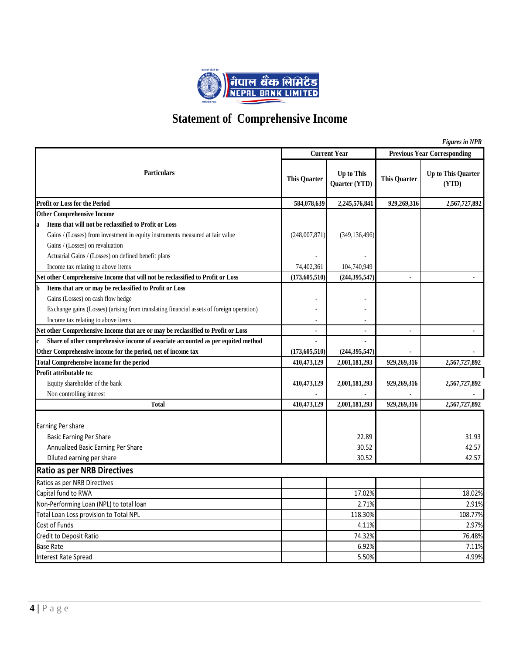

# **Statement of Comprehensive Income**

|   |                                                                                          |                          |                                    |                     | <b>Figures in NPR</b>              |
|---|------------------------------------------------------------------------------------------|--------------------------|------------------------------------|---------------------|------------------------------------|
|   |                                                                                          |                          | <b>Current Year</b>                |                     | <b>Previous Year Corresponding</b> |
|   | <b>Particulars</b>                                                                       | <b>This Quarter</b>      | <b>Up to This</b><br>Quarter (YTD) | <b>This Quarter</b> | Up to This Quarter<br>(YTD)        |
|   | <b>Profit or Loss for the Period</b>                                                     | 584,078,639              | 2,245,576,841                      | 929,269,316         | 2,567,727,892                      |
|   | <b>Other Comprehensive Income</b>                                                        |                          |                                    |                     |                                    |
|   | Items that will not be reclassified to Profit or Loss                                    |                          |                                    |                     |                                    |
|   | Gains / (Losses) from investment in equity instruments measured at fair value            | (248,007,871)            | (349, 136, 496)                    |                     |                                    |
|   | Gains / (Losses) on revaluation                                                          |                          |                                    |                     |                                    |
|   | Actuarial Gains / (Losses) on defined benefit plans                                      |                          |                                    |                     |                                    |
|   | Income tax relating to above items                                                       | 74,402,361               | 104,740,949                        |                     |                                    |
|   | Net other Comprehensive Income that will not be reclassified to Profit or Loss           | (173, 605, 510)          | (244, 395, 547)                    | ä,                  |                                    |
| b | Items that are or may be reclassified to Profit or Loss                                  |                          |                                    |                     |                                    |
|   | Gains (Losses) on cash flow hedge                                                        |                          |                                    |                     |                                    |
|   | Exchange gains (Losses) (arising from translating financial assets of foreign operation) |                          |                                    |                     |                                    |
|   | Income tax relating to above items                                                       | $\overline{\phantom{a}}$ | $\overline{\phantom{a}}$           |                     |                                    |
|   | Net other Comprehensive Income that are or may be reclassified to Profit or Loss         | $\blacksquare$           | $\blacksquare$                     |                     | $\blacksquare$                     |
|   | Share of other comprehensive income of associate accounted as per equited method         |                          |                                    |                     |                                    |
|   | Other Comprehensive income for the period, net of income tax                             | (173, 605, 510)          | (244, 395, 547)                    |                     |                                    |
|   | <b>Total Comprehensive income for the period</b>                                         | 410,473,129              | 2,001,181,293                      | 929,269,316         | 2,567,727,892                      |
|   | Profit attributable to:                                                                  |                          |                                    |                     |                                    |
|   | Equity shareholder of the bank                                                           | 410,473,129              | 2,001,181,293                      | 929,269,316         | 2,567,727,892                      |
|   | Non controlling interest                                                                 |                          |                                    |                     |                                    |
|   | <b>Total</b>                                                                             | 410,473,129              | 2,001,181,293                      | 929,269,316         | 2,567,727,892                      |
|   | Earning Per share                                                                        |                          |                                    |                     |                                    |
|   | <b>Basic Earning Per Share</b>                                                           |                          | 22.89                              |                     | 31.93                              |
|   | Annualized Basic Earning Per Share                                                       |                          | 30.52                              |                     | 42.57                              |
|   | Diluted earning per share                                                                |                          | 30.52                              |                     | 42.57                              |
|   | <b>Ratio as per NRB Directives</b>                                                       |                          |                                    |                     |                                    |
|   | Ratios as per NRB Directives                                                             |                          |                                    |                     |                                    |
|   | Capital fund to RWA                                                                      |                          | 17.02%                             |                     | 18.02%                             |
|   | Non-Performing Loan (NPL) to total loan                                                  |                          | 2.71%                              |                     | 2.91%                              |
|   | Total Loan Loss provision to Total NPL                                                   |                          | 118.30%                            |                     | 108.77%                            |
|   | Cost of Funds                                                                            |                          | 4.11%                              |                     | 2.97%                              |
|   | Credit to Deposit Ratio                                                                  |                          | 74.32%                             |                     | 76.48%                             |
|   | <b>Base Rate</b>                                                                         |                          | 6.92%                              |                     | 7.11%                              |
|   | <b>Interest Rate Spread</b>                                                              |                          | 5.50%                              |                     | 4.99%                              |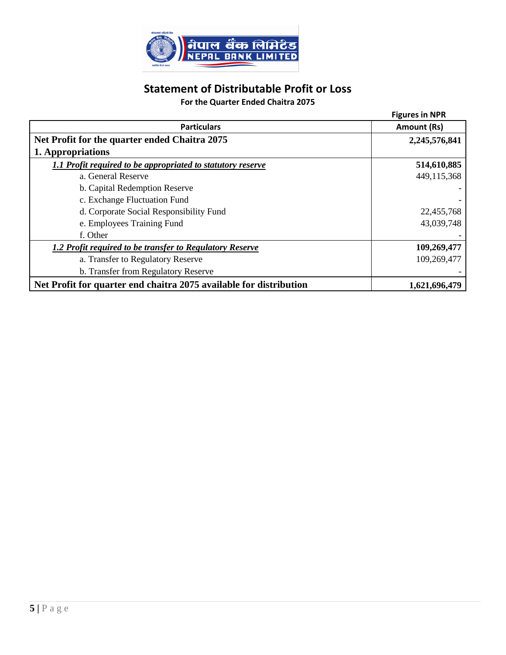

## **Statement of Distributable Profit or Loss**

## **For the Quarter Ended Chaitra 2075**

|                                                                    | <b>Figures in NPR</b> |
|--------------------------------------------------------------------|-----------------------|
| <b>Particulars</b>                                                 | Amount (Rs)           |
| Net Profit for the quarter ended Chaitra 2075                      | 2,245,576,841         |
| 1. Appropriations                                                  |                       |
| 1.1 Profit required to be appropriated to statutory reserve        | 514,610,885           |
| a. General Reserve                                                 | 449,115,368           |
| b. Capital Redemption Reserve                                      |                       |
| c. Exchange Fluctuation Fund                                       |                       |
| d. Corporate Social Responsibility Fund                            | 22,455,768            |
| e. Employees Training Fund                                         | 43,039,748            |
| f. Other                                                           |                       |
| 1.2 Profit required to be transfer to Regulatory Reserve           | 109,269,477           |
| a. Transfer to Regulatory Reserve                                  | 109,269,477           |
| b. Transfer from Regulatory Reserve                                |                       |
| Net Profit for quarter end chaitra 2075 available for distribution | 1,621,696,479         |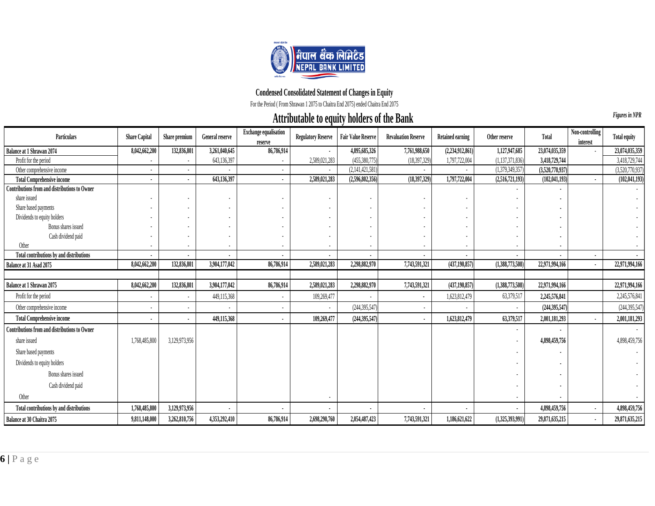

## **Condensed Consolidated Statement of Changes in Equity**

For the Period ( From Shrawan 1 2075 to Chaitra End 2075) ended Chaitra End 2075

## **Attributable to equity holders of the Bank**

**6 Example 200**<br> **6 Example 200**<br> **Example 200**<br> **Example 200**<br> **Example 200**<br> **Example 200**<br> **6 Example 200**<br> **6 Example 200**<br> **6 Example 200**<br> **6 Example 200**<br> **6 Example 200**<br> **6 Example 200**<br> **6 Exam Particulars** Share Capital Share premium General reserve Exchange equalisation **reserve Regulatory Reserve Fair Value Reserve Revaluation Reserve Retained earning Cother reserve Total Non-controlling Regulatory Reserve Reserve interest Total equity Balance at 1 Shrawan 2074 8,042,662,200 132,836,801 3,261,040,645 86,786,914 - 4,895,685,326 7,761,988,650 (2,234,912,861) 1,127,947,685 23,074,035,359** - **23,074,035,359** Profit for the period - - 643,136,397 - 2,589,021,283 (455,380,775) (18,397,329) 1,797,722,004 (1,137,371,836) **3,418,729,744** 3,418,729,744 Other comprehensive income - - - - - (2,141,421,581) - - (1,379,349,357) **(3,520,770,937)** (3,520,770,937) **Total Comprehensive income - - 643,136,397 - 2,589,021,283 (2,596,802,356) (18,397,329) 1,797,722,004 (2,516,721,193) (102,041,193) - (102,041,193) Contributions from and distributions to Owner** - **-** share issued - - - - - - - - - **-** - Share based payments - - - - - - - - - **-** - Dividends to equity holders - - - - - - - - - **-** - Bonus shares issued - - - - - - - - - **-** - Cash dividend paid - - - - - - - - - **-** - Other - - - - - - - - - **-** - **Total contributions by and distributions - - - - - - - - - - - - Balance at 31 Asad 2075 8,042,662,200 132,836,801 3,904,177,042 86,786,914 2,589,021,283 2,298,882,970 7,743,591,321 (437,190,857) (1,388,773,508) 22,971,994,166 - 22,971,994,166** Balance at 1 Shrawan 2075 2,391,479,300 132,836,801 132,836,801 12,836,004,000 132,800,000 132,800,177,042 12,000,000 132,800,000 1,208,882,970 2,2970,300 1,388,773,508) 22,971,994,100 1,208,773,908 22,971,994,106 1,208,77 Profit for the period - - 449,115,368 - 109,269,477 - - 1,623,812,479 63,379,517 **2,245,576,841** 2,245,576,841 Other comprehensive income - - - - - (244,395,547) - - - **(244,395,547)** (244,395,547) **Total Comprehensive income - - 449,115,368 - 109,269,477 (244,395,547) - 1,623,812,479 63,379,517 2,001,181,293 - 2,001,181,293 Contributions from and distributions to Owner** - **-** share issued 1,168,485,800 3,129,973,956 - 1 - 1,106 - 1,29,973,956 - 1, 2,598,459,756 - 1, 2,598,459,756 - 1, 2,598,459,756 - 1, 4,898,459,756 - 1, 4,898,459,756 - 1, 4,898,459,756 - 1, 4,898,459,756 - 1, 4,898,459,756 - Share based payments - **-** - Dividends to equity holders - **-** - Bonus shares issued - **-** - Cash dividend paid - **-** - Other - - **-** - **Total contributions by and distributions 1,768,485,800 3,129,973,956 - - - - - - - 4,898,459,756 - 4,898,459,756** Balance at 30 Chaitra 2075 2071,148,000 3,262,810,756 4,353,292,410 86,786,914 2,698,290,760 2,054,487,423 7,743,591,521,521,521,621,625,993,991) 29,871,635,215 - 29,871,635,215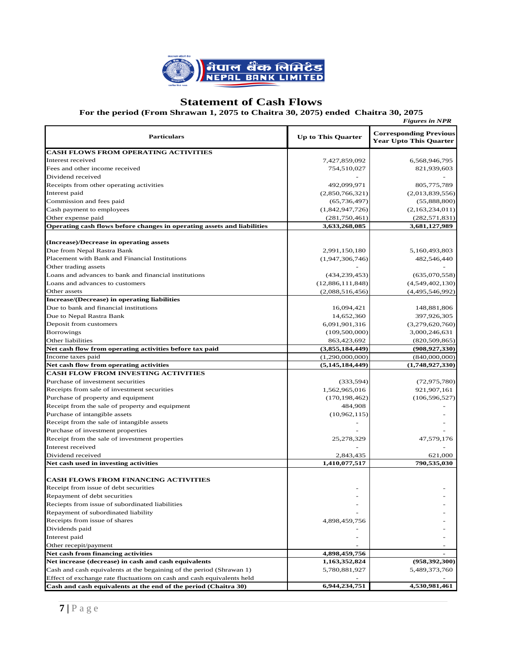

## **Statement of Cash Flows**

#### **For the period (From Shrawan 1, 2075 to Chaitra 30, 2075) ended Chaitra 30, 2075**

|                                                                         |                           | <b>Figures in NPR</b>                                          |
|-------------------------------------------------------------------------|---------------------------|----------------------------------------------------------------|
| <b>Particulars</b>                                                      | <b>Up to This Quarter</b> | <b>Corresponding Previous</b><br><b>Year Upto This Quarter</b> |
| <b>CASH FLOWS FROM OPERATING ACTIVITIES</b>                             |                           |                                                                |
| Interest received                                                       | 7,427,859,092             | 6,568,946,795                                                  |
| Fees and other income received                                          | 754,510,027               | 821,939,603                                                    |
| Dividend received                                                       |                           |                                                                |
| Receipts from other operating activities                                | 492,099,971               | 805,775,789                                                    |
| Interest paid                                                           | (2,850,766,321)           | (2,013,839,556)                                                |
| Commission and fees paid                                                | (65, 736, 497)            | (55,888,800)                                                   |
| Cash payment to employees                                               | (1,842,947,726)           | (2,163,234,011)                                                |
| Other expense paid                                                      | (281, 750, 461)           | (282, 571, 831)                                                |
| Operating cash flows before changes in operating assets and liabilities | 3,633,268,085             | 3,681,127,989                                                  |
|                                                                         |                           |                                                                |
| (Increase)/Decrease in operating assets                                 |                           |                                                                |
| Due from Nepal Rastra Bank                                              | 2,991,150,180             | 5,160,493,803                                                  |
| Placement with Bank and Financial Institutions                          | (1,947,306,746)           | 482,546,440                                                    |
| Other trading assets                                                    |                           |                                                                |
| Loans and advances to bank and financial institutions                   | (434, 239, 453)           | (635,070,558)                                                  |
| Loans and advances to customers                                         | (12,886,111,848)          | (4,549,402,130)                                                |
| Other assets                                                            | (2,088,516,456)           | (4,495,546,992)                                                |
| <b>Increase/(Decrease) in operating liabilities</b>                     |                           |                                                                |
| Due to bank and financial institutions                                  | 16,094,421                | 148,881,806                                                    |
| Due to Nepal Rastra Bank                                                | 14,652,360                | 397,926,305                                                    |
| Deposit from customers                                                  | 6,091,901,316             | (3,279,620,760)                                                |
| <b>Borrowings</b>                                                       | (109, 500, 000)           | 3,000,246,631                                                  |
| Other liabilities                                                       | 863,423,692               | (820, 509, 865)                                                |
| Net cash flow from operating activities before tax paid                 | (3,855,184,449)           | (908, 927, 330)                                                |
| Income taxes paid                                                       | (1,290,000,000)           | (840,000,000)                                                  |
| Net cash flow from operating activities                                 | (5,145,184,449)           | (1,748,927,330)                                                |
| <b>CASH FLOW FROM INVESTING ACTIVITIES</b>                              |                           |                                                                |
| Purchase of investment securities                                       | (333, 594)                | (72, 975, 780)                                                 |
| Receipts from sale of investment securities                             | 1,562,965,016             | 921,907,161                                                    |
| Purchase of property and equipment                                      | (170, 198, 462)           | (106, 596, 527)                                                |
| Receipt from the sale of property and equipment                         | 484,908                   |                                                                |
| Purchase of intangible assets                                           | (10,962,115)              |                                                                |
| Receipt from the sale of intangible assets                              |                           |                                                                |
| Purchase of investment properties                                       |                           |                                                                |
| Receipt from the sale of investment properties                          | 25,278,329                | 47,579,176                                                     |
| Interest received                                                       |                           |                                                                |
| Dividend received                                                       | 2,843,435                 | 621,000                                                        |
| Net cash used in investing activities                                   | 1,410,077,517             | 790,535,030                                                    |
|                                                                         |                           |                                                                |
| <b>CASH FLOWS FROM FINANCING ACTIVITIES</b>                             |                           |                                                                |
| Receipt from issue of debt securities                                   |                           |                                                                |
| Repayment of debt securities                                            |                           |                                                                |
| Reciepts from issue of subordinated liabilities                         |                           |                                                                |
| Repayment of subordinated liability                                     |                           |                                                                |
| Receipts from issue of shares                                           | 4,898,459,756             |                                                                |
| Dividends paid                                                          |                           |                                                                |
| Interest paid                                                           |                           |                                                                |
| Other recepit/payment                                                   |                           |                                                                |
| Net cash from financing activities                                      | 4,898,459,756             |                                                                |
| Net increase (decrease) in cash and cash equivalents                    | 1,163,352,824             | (958, 392, 300)                                                |
| Cash and cash equivalents at the begaining of the period (Shrawan 1)    | 5,780,881,927             | 5,489,373,760                                                  |
| Effect of exchange rate fluctuations on cash and cash equivalents held  |                           |                                                                |
| Cash and cash equivalents at the end of the period (Chaitra 30)         | 6,944,234,751             | 4,530,981,461                                                  |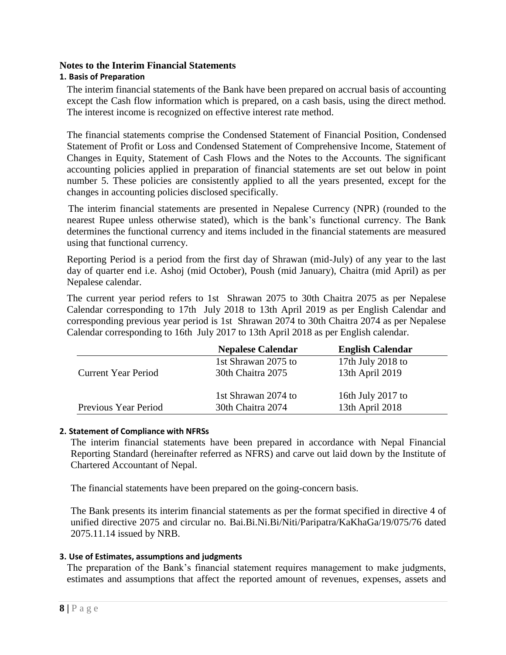#### **Notes to the Interim Financial Statements**

#### **1. Basis of Preparation**

The interim financial statements of the Bank have been prepared on accrual basis of accounting except the Cash flow information which is prepared, on a cash basis, using the direct method. The interest income is recognized on effective interest rate method.

The financial statements comprise the Condensed Statement of Financial Position, Condensed Statement of Profit or Loss and Condensed Statement of Comprehensive Income, Statement of Changes in Equity, Statement of Cash Flows and the Notes to the Accounts. The significant accounting policies applied in preparation of financial statements are set out below in point number 5. These policies are consistently applied to all the years presented, except for the changes in accounting policies disclosed specifically.

 The interim financial statements are presented in Nepalese Currency (NPR) (rounded to the nearest Rupee unless otherwise stated), which is the bank"s functional currency. The Bank determines the functional currency and items included in the financial statements are measured using that functional currency.

Reporting Period is a period from the first day of Shrawan (mid-July) of any year to the last day of quarter end i.e. Ashoj (mid October), Poush (mid January), Chaitra (mid April) as per Nepalese calendar.

The current year period refers to 1st Shrawan 2075 to 30th Chaitra 2075 as per Nepalese Calendar corresponding to 17th July 2018 to 13th April 2019 as per English Calendar and corresponding previous year period is 1st Shrawan 2074 to 30th Chaitra 2074 as per Nepalese Calendar corresponding to 16th July 2017 to 13th April 2018 as per English calendar.

|                            | <b>Nepalese Calendar</b> | <b>English Calendar</b> |
|----------------------------|--------------------------|-------------------------|
|                            | 1st Shrawan 2075 to      | 17th July 2018 to       |
| <b>Current Year Period</b> | 30th Chaitra 2075        | 13th April 2019         |
|                            | 1st Shrawan 2074 to      | 16th July 2017 to       |
| Previous Year Period       | 30th Chaitra 2074        | 13th April 2018         |

#### **2. Statement of Compliance with NFRSs**

The interim financial statements have been prepared in accordance with Nepal Financial Reporting Standard (hereinafter referred as NFRS) and carve out laid down by the Institute of Chartered Accountant of Nepal.

The financial statements have been prepared on the going-concern basis.

The Bank presents its interim financial statements as per the format specified in directive 4 of unified directive 2075 and circular no. Bai.Bi.Ni.Bi/Niti/Paripatra/KaKhaGa/19/075/76 dated 2075.11.14 issued by NRB.

#### **3. Use of Estimates, assumptions and judgments**

The preparation of the Bank"s financial statement requires management to make judgments, estimates and assumptions that affect the reported amount of revenues, expenses, assets and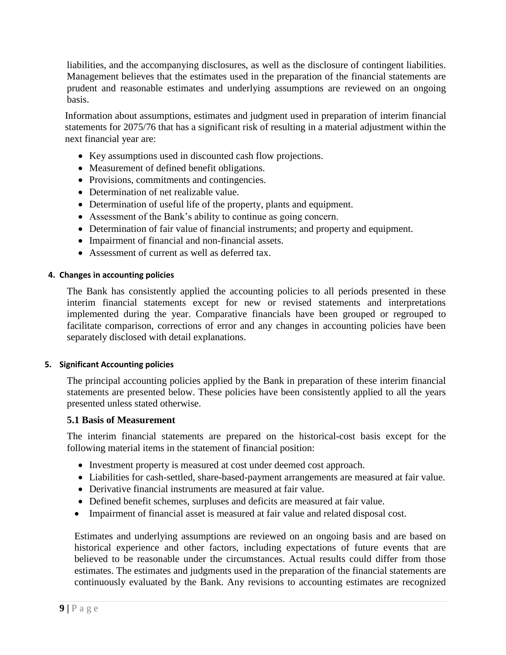liabilities, and the accompanying disclosures, as well as the disclosure of contingent liabilities. Management believes that the estimates used in the preparation of the financial statements are prudent and reasonable estimates and underlying assumptions are reviewed on an ongoing basis.

Information about assumptions, estimates and judgment used in preparation of interim financial statements for 2075/76 that has a significant risk of resulting in a material adjustment within the next financial year are:

- Key assumptions used in discounted cash flow projections.
- Measurement of defined benefit obligations.
- Provisions, commitments and contingencies.
- Determination of net realizable value.
- Determination of useful life of the property, plants and equipment.
- Assessment of the Bank"s ability to continue as going concern.
- Determination of fair value of financial instruments; and property and equipment.
- Impairment of financial and non-financial assets.
- Assessment of current as well as deferred tax.

#### **4. Changes in accounting policies**

The Bank has consistently applied the accounting policies to all periods presented in these interim financial statements except for new or revised statements and interpretations implemented during the year. Comparative financials have been grouped or regrouped to facilitate comparison, corrections of error and any changes in accounting policies have been separately disclosed with detail explanations.

#### **5. Significant Accounting policies**

The principal accounting policies applied by the Bank in preparation of these interim financial statements are presented below. These policies have been consistently applied to all the years presented unless stated otherwise.

#### **5.1 Basis of Measurement**

The interim financial statements are prepared on the historical-cost basis except for the following material items in the statement of financial position:

- Investment property is measured at cost under deemed cost approach.
- Liabilities for cash-settled, share-based-payment arrangements are measured at fair value.
- Derivative financial instruments are measured at fair value.
- Defined benefit schemes, surpluses and deficits are measured at fair value.
- Impairment of financial asset is measured at fair value and related disposal cost.

Estimates and underlying assumptions are reviewed on an ongoing basis and are based on historical experience and other factors, including expectations of future events that are believed to be reasonable under the circumstances. Actual results could differ from those estimates. The estimates and judgments used in the preparation of the financial statements are continuously evaluated by the Bank. Any revisions to accounting estimates are recognized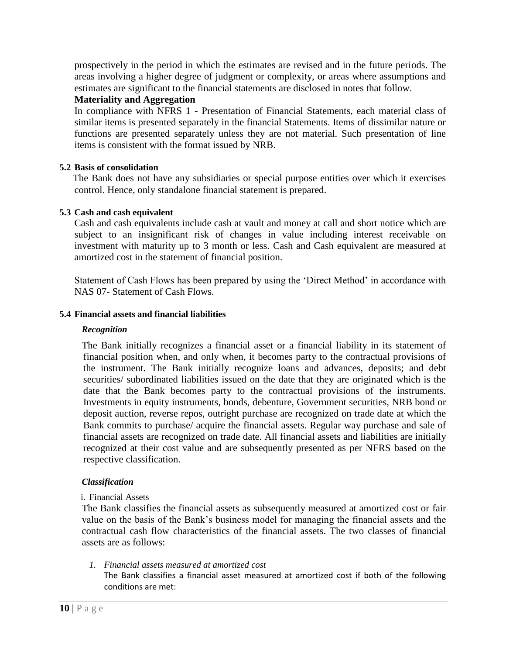prospectively in the period in which the estimates are revised and in the future periods. The areas involving a higher degree of judgment or complexity, or areas where assumptions and estimates are significant to the financial statements are disclosed in notes that follow.

## **Materiality and Aggregation**

In compliance with NFRS 1 - Presentation of Financial Statements, each material class of similar items is presented separately in the financial Statements. Items of dissimilar nature or functions are presented separately unless they are not material. Such presentation of line items is consistent with the format issued by NRB.

#### **5.2 Basis of consolidation**

The Bank does not have any subsidiaries or special purpose entities over which it exercises control. Hence, only standalone financial statement is prepared.

#### **5.3 Cash and cash equivalent**

Cash and cash equivalents include cash at vault and money at call and short notice which are subject to an insignificant risk of changes in value including interest receivable on investment with maturity up to 3 month or less. Cash and Cash equivalent are measured at amortized cost in the statement of financial position.

Statement of Cash Flows has been prepared by using the "Direct Method" in accordance with NAS 07- Statement of Cash Flows.

#### **5.4 Financial assets and financial liabilities**

#### *Recognition*

The Bank initially recognizes a financial asset or a financial liability in its statement of financial position when, and only when, it becomes party to the contractual provisions of the instrument. The Bank initially recognize loans and advances, deposits; and debt securities/ subordinated liabilities issued on the date that they are originated which is the date that the Bank becomes party to the contractual provisions of the instruments. Investments in equity instruments, bonds, debenture, Government securities, NRB bond or deposit auction, reverse repos, outright purchase are recognized on trade date at which the Bank commits to purchase/ acquire the financial assets. Regular way purchase and sale of financial assets are recognized on trade date. All financial assets and liabilities are initially recognized at their cost value and are subsequently presented as per NFRS based on the respective classification.

#### *Classification*

#### i. Financial Assets

The Bank classifies the financial assets as subsequently measured at amortized cost or fair value on the basis of the Bank"s business model for managing the financial assets and the contractual cash flow characteristics of the financial assets. The two classes of financial assets are as follows:

*1. Financial assets measured at amortized cost*

The Bank classifies a financial asset measured at amortized cost if both of the following conditions are met: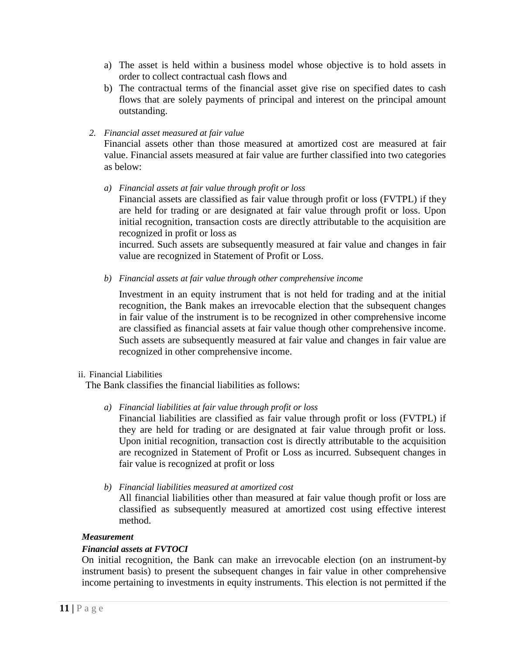- a) The asset is held within a business model whose objective is to hold assets in order to collect contractual cash flows and
- b) The contractual terms of the financial asset give rise on specified dates to cash flows that are solely payments of principal and interest on the principal amount outstanding.

#### *2. Financial asset measured at fair value*

Financial assets other than those measured at amortized cost are measured at fair value. Financial assets measured at fair value are further classified into two categories as below:

*a) Financial assets at fair value through profit or loss*

Financial assets are classified as fair value through profit or loss (FVTPL) if they are held for trading or are designated at fair value through profit or loss. Upon initial recognition, transaction costs are directly attributable to the acquisition are recognized in profit or loss as

incurred. Such assets are subsequently measured at fair value and changes in fair value are recognized in Statement of Profit or Loss.

*b) Financial assets at fair value through other comprehensive income*

Investment in an equity instrument that is not held for trading and at the initial recognition, the Bank makes an irrevocable election that the subsequent changes in fair value of the instrument is to be recognized in other comprehensive income are classified as financial assets at fair value though other comprehensive income. Such assets are subsequently measured at fair value and changes in fair value are recognized in other comprehensive income.

#### ii. Financial Liabilities

The Bank classifies the financial liabilities as follows:

*a) Financial liabilities at fair value through profit or loss*

Financial liabilities are classified as fair value through profit or loss (FVTPL) if they are held for trading or are designated at fair value through profit or loss. Upon initial recognition, transaction cost is directly attributable to the acquisition are recognized in Statement of Profit or Loss as incurred. Subsequent changes in fair value is recognized at profit or loss

*b) Financial liabilities measured at amortized cost*

All financial liabilities other than measured at fair value though profit or loss are classified as subsequently measured at amortized cost using effective interest method.

#### *Measurement*

## *Financial assets at FVTOCI*

On initial recognition, the Bank can make an irrevocable election (on an instrument-by instrument basis) to present the subsequent changes in fair value in other comprehensive income pertaining to investments in equity instruments. This election is not permitted if the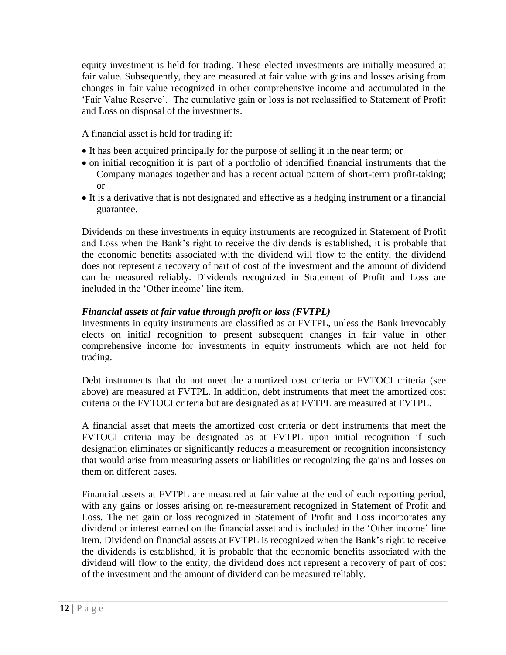equity investment is held for trading. These elected investments are initially measured at fair value. Subsequently, they are measured at fair value with gains and losses arising from changes in fair value recognized in other comprehensive income and accumulated in the "Fair Value Reserve". The cumulative gain or loss is not reclassified to Statement of Profit and Loss on disposal of the investments.

A financial asset is held for trading if:

- It has been acquired principally for the purpose of selling it in the near term; or
- on initial recognition it is part of a portfolio of identified financial instruments that the Company manages together and has a recent actual pattern of short-term profit-taking; or
- It is a derivative that is not designated and effective as a hedging instrument or a financial guarantee.

Dividends on these investments in equity instruments are recognized in Statement of Profit and Loss when the Bank"s right to receive the dividends is established, it is probable that the economic benefits associated with the dividend will flow to the entity, the dividend does not represent a recovery of part of cost of the investment and the amount of dividend can be measured reliably. Dividends recognized in Statement of Profit and Loss are included in the 'Other income' line item.

## *Financial assets at fair value through profit or loss (FVTPL)*

Investments in equity instruments are classified as at FVTPL, unless the Bank irrevocably elects on initial recognition to present subsequent changes in fair value in other comprehensive income for investments in equity instruments which are not held for trading.

Debt instruments that do not meet the amortized cost criteria or FVTOCI criteria (see above) are measured at FVTPL. In addition, debt instruments that meet the amortized cost criteria or the FVTOCI criteria but are designated as at FVTPL are measured at FVTPL.

A financial asset that meets the amortized cost criteria or debt instruments that meet the FVTOCI criteria may be designated as at FVTPL upon initial recognition if such designation eliminates or significantly reduces a measurement or recognition inconsistency that would arise from measuring assets or liabilities or recognizing the gains and losses on them on different bases.

Financial assets at FVTPL are measured at fair value at the end of each reporting period, with any gains or losses arising on re-measurement recognized in Statement of Profit and Loss. The net gain or loss recognized in Statement of Profit and Loss incorporates any dividend or interest earned on the financial asset and is included in the 'Other income' line item. Dividend on financial assets at FVTPL is recognized when the Bank"s right to receive the dividends is established, it is probable that the economic benefits associated with the dividend will flow to the entity, the dividend does not represent a recovery of part of cost of the investment and the amount of dividend can be measured reliably.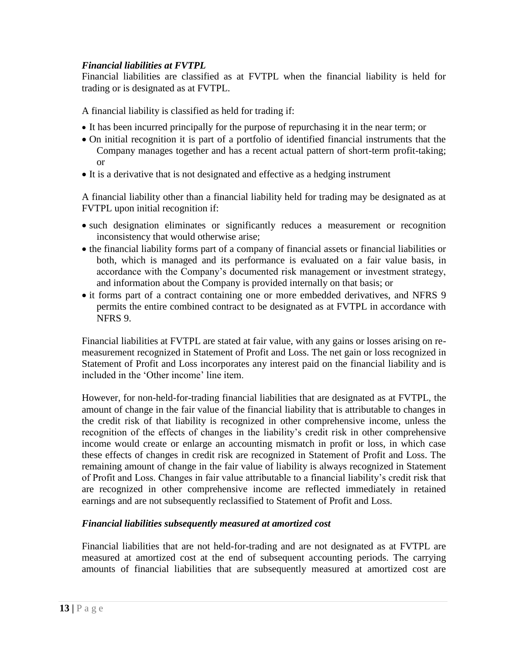## *Financial liabilities at FVTPL*

Financial liabilities are classified as at FVTPL when the financial liability is held for trading or is designated as at FVTPL.

A financial liability is classified as held for trading if:

- It has been incurred principally for the purpose of repurchasing it in the near term; or
- On initial recognition it is part of a portfolio of identified financial instruments that the Company manages together and has a recent actual pattern of short-term profit-taking; or
- It is a derivative that is not designated and effective as a hedging instrument

A financial liability other than a financial liability held for trading may be designated as at FVTPL upon initial recognition if:

- such designation eliminates or significantly reduces a measurement or recognition inconsistency that would otherwise arise;
- the financial liability forms part of a company of financial assets or financial liabilities or both, which is managed and its performance is evaluated on a fair value basis, in accordance with the Company"s documented risk management or investment strategy, and information about the Company is provided internally on that basis; or
- it forms part of a contract containing one or more embedded derivatives, and NFRS 9 permits the entire combined contract to be designated as at FVTPL in accordance with NFRS 9.

Financial liabilities at FVTPL are stated at fair value, with any gains or losses arising on remeasurement recognized in Statement of Profit and Loss. The net gain or loss recognized in Statement of Profit and Loss incorporates any interest paid on the financial liability and is included in the 'Other income' line item.

However, for non-held-for-trading financial liabilities that are designated as at FVTPL, the amount of change in the fair value of the financial liability that is attributable to changes in the credit risk of that liability is recognized in other comprehensive income, unless the recognition of the effects of changes in the liability"s credit risk in other comprehensive income would create or enlarge an accounting mismatch in profit or loss, in which case these effects of changes in credit risk are recognized in Statement of Profit and Loss. The remaining amount of change in the fair value of liability is always recognized in Statement of Profit and Loss. Changes in fair value attributable to a financial liability"s credit risk that are recognized in other comprehensive income are reflected immediately in retained earnings and are not subsequently reclassified to Statement of Profit and Loss.

## *Financial liabilities subsequently measured at amortized cost*

Financial liabilities that are not held-for-trading and are not designated as at FVTPL are measured at amortized cost at the end of subsequent accounting periods. The carrying amounts of financial liabilities that are subsequently measured at amortized cost are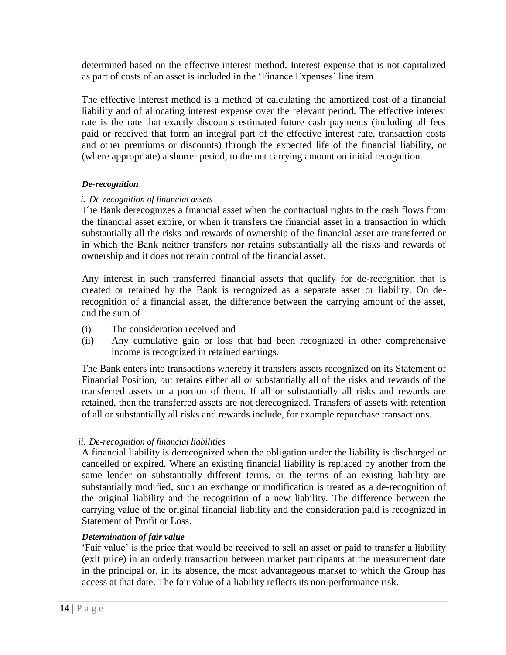determined based on the effective interest method. Interest expense that is not capitalized as part of costs of an asset is included in the "Finance Expenses" line item.

The effective interest method is a method of calculating the amortized cost of a financial liability and of allocating interest expense over the relevant period. The effective interest rate is the rate that exactly discounts estimated future cash payments (including all fees paid or received that form an integral part of the effective interest rate, transaction costs and other premiums or discounts) through the expected life of the financial liability, or (where appropriate) a shorter period, to the net carrying amount on initial recognition.

#### *De-recognition*

#### *i. De-recognition of financial assets*

The Bank derecognizes a financial asset when the contractual rights to the cash flows from the financial asset expire, or when it transfers the financial asset in a transaction in which substantially all the risks and rewards of ownership of the financial asset are transferred or in which the Bank neither transfers nor retains substantially all the risks and rewards of ownership and it does not retain control of the financial asset.

Any interest in such transferred financial assets that qualify for de-recognition that is created or retained by the Bank is recognized as a separate asset or liability. On derecognition of a financial asset, the difference between the carrying amount of the asset, and the sum of

- (i) The consideration received and
- (ii) Any cumulative gain or loss that had been recognized in other comprehensive income is recognized in retained earnings.

The Bank enters into transactions whereby it transfers assets recognized on its Statement of Financial Position, but retains either all or substantially all of the risks and rewards of the transferred assets or a portion of them. If all or substantially all risks and rewards are retained, then the transferred assets are not derecognized. Transfers of assets with retention of all or substantially all risks and rewards include, for example repurchase transactions.

#### *ii. De-recognition of financial liabilities*

A financial liability is derecognized when the obligation under the liability is discharged or cancelled or expired. Where an existing financial liability is replaced by another from the same lender on substantially different terms, or the terms of an existing liability are substantially modified, such an exchange or modification is treated as a de-recognition of the original liability and the recognition of a new liability. The difference between the carrying value of the original financial liability and the consideration paid is recognized in Statement of Profit or Loss.

#### *Determination of fair value*

"Fair value" is the price that would be received to sell an asset or paid to transfer a liability (exit price) in an orderly transaction between market participants at the measurement date in the principal or, in its absence, the most advantageous market to which the Group has access at that date. The fair value of a liability reflects its non-performance risk.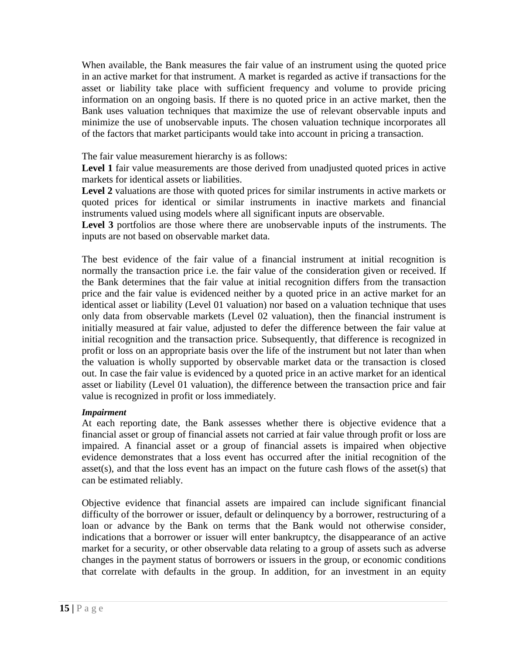When available, the Bank measures the fair value of an instrument using the quoted price in an active market for that instrument. A market is regarded as active if transactions for the asset or liability take place with sufficient frequency and volume to provide pricing information on an ongoing basis. If there is no quoted price in an active market, then the Bank uses valuation techniques that maximize the use of relevant observable inputs and minimize the use of unobservable inputs. The chosen valuation technique incorporates all of the factors that market participants would take into account in pricing a transaction.

The fair value measurement hierarchy is as follows:

Level 1 fair value measurements are those derived from unadjusted quoted prices in active markets for identical assets or liabilities.

Level 2 valuations are those with quoted prices for similar instruments in active markets or quoted prices for identical or similar instruments in inactive markets and financial instruments valued using models where all significant inputs are observable.

**Level 3** portfolios are those where there are unobservable inputs of the instruments. The inputs are not based on observable market data.

The best evidence of the fair value of a financial instrument at initial recognition is normally the transaction price i.e. the fair value of the consideration given or received. If the Bank determines that the fair value at initial recognition differs from the transaction price and the fair value is evidenced neither by a quoted price in an active market for an identical asset or liability (Level 01 valuation) nor based on a valuation technique that uses only data from observable markets (Level 02 valuation), then the financial instrument is initially measured at fair value, adjusted to defer the difference between the fair value at initial recognition and the transaction price. Subsequently, that difference is recognized in profit or loss on an appropriate basis over the life of the instrument but not later than when the valuation is wholly supported by observable market data or the transaction is closed out. In case the fair value is evidenced by a quoted price in an active market for an identical asset or liability (Level 01 valuation), the difference between the transaction price and fair value is recognized in profit or loss immediately.

#### *Impairment*

At each reporting date, the Bank assesses whether there is objective evidence that a financial asset or group of financial assets not carried at fair value through profit or loss are impaired. A financial asset or a group of financial assets is impaired when objective evidence demonstrates that a loss event has occurred after the initial recognition of the asset(s), and that the loss event has an impact on the future cash flows of the asset(s) that can be estimated reliably.

Objective evidence that financial assets are impaired can include significant financial difficulty of the borrower or issuer, default or delinquency by a borrower, restructuring of a loan or advance by the Bank on terms that the Bank would not otherwise consider, indications that a borrower or issuer will enter bankruptcy, the disappearance of an active market for a security, or other observable data relating to a group of assets such as adverse changes in the payment status of borrowers or issuers in the group, or economic conditions that correlate with defaults in the group. In addition, for an investment in an equity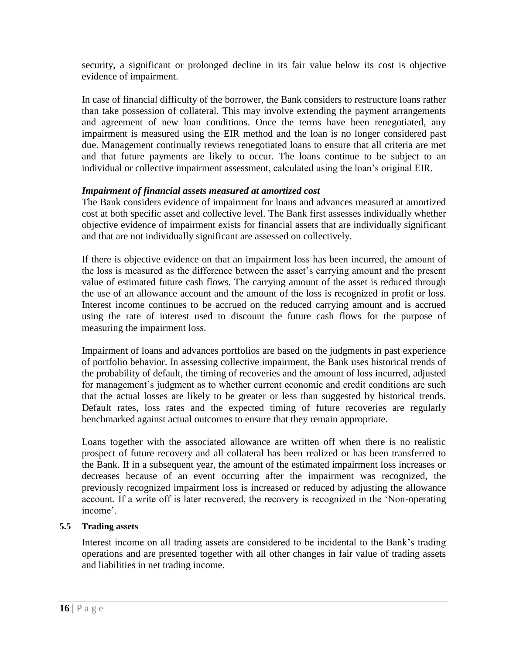security, a significant or prolonged decline in its fair value below its cost is objective evidence of impairment.

In case of financial difficulty of the borrower, the Bank considers to restructure loans rather than take possession of collateral. This may involve extending the payment arrangements and agreement of new loan conditions. Once the terms have been renegotiated, any impairment is measured using the EIR method and the loan is no longer considered past due. Management continually reviews renegotiated loans to ensure that all criteria are met and that future payments are likely to occur. The loans continue to be subject to an individual or collective impairment assessment, calculated using the loan"s original EIR.

#### *Impairment of financial assets measured at amortized cost*

The Bank considers evidence of impairment for loans and advances measured at amortized cost at both specific asset and collective level. The Bank first assesses individually whether objective evidence of impairment exists for financial assets that are individually significant and that are not individually significant are assessed on collectively.

If there is objective evidence on that an impairment loss has been incurred, the amount of the loss is measured as the difference between the asset"s carrying amount and the present value of estimated future cash flows. The carrying amount of the asset is reduced through the use of an allowance account and the amount of the loss is recognized in profit or loss. Interest income continues to be accrued on the reduced carrying amount and is accrued using the rate of interest used to discount the future cash flows for the purpose of measuring the impairment loss.

Impairment of loans and advances portfolios are based on the judgments in past experience of portfolio behavior. In assessing collective impairment, the Bank uses historical trends of the probability of default, the timing of recoveries and the amount of loss incurred, adjusted for management's judgment as to whether current economic and credit conditions are such that the actual losses are likely to be greater or less than suggested by historical trends. Default rates, loss rates and the expected timing of future recoveries are regularly benchmarked against actual outcomes to ensure that they remain appropriate.

Loans together with the associated allowance are written off when there is no realistic prospect of future recovery and all collateral has been realized or has been transferred to the Bank. If in a subsequent year, the amount of the estimated impairment loss increases or decreases because of an event occurring after the impairment was recognized, the previously recognized impairment loss is increased or reduced by adjusting the allowance account. If a write off is later recovered, the recovery is recognized in the "Non-operating income'.

#### **5.5 Trading assets**

Interest income on all trading assets are considered to be incidental to the Bank"s trading operations and are presented together with all other changes in fair value of trading assets and liabilities in net trading income.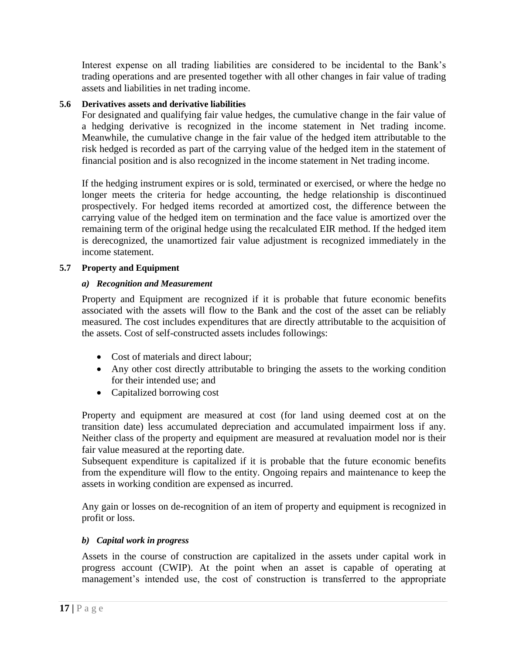Interest expense on all trading liabilities are considered to be incidental to the Bank"s trading operations and are presented together with all other changes in fair value of trading assets and liabilities in net trading income.

## **5.6 Derivatives assets and derivative liabilities**

For designated and qualifying fair value hedges, the cumulative change in the fair value of a hedging derivative is recognized in the income statement in Net trading income. Meanwhile, the cumulative change in the fair value of the hedged item attributable to the risk hedged is recorded as part of the carrying value of the hedged item in the statement of financial position and is also recognized in the income statement in Net trading income.

If the hedging instrument expires or is sold, terminated or exercised, or where the hedge no longer meets the criteria for hedge accounting, the hedge relationship is discontinued prospectively. For hedged items recorded at amortized cost, the difference between the carrying value of the hedged item on termination and the face value is amortized over the remaining term of the original hedge using the recalculated EIR method. If the hedged item is derecognized, the unamortized fair value adjustment is recognized immediately in the income statement.

#### **5.7 Property and Equipment**

#### *a) Recognition and Measurement*

Property and Equipment are recognized if it is probable that future economic benefits associated with the assets will flow to the Bank and the cost of the asset can be reliably measured. The cost includes expenditures that are directly attributable to the acquisition of the assets. Cost of self-constructed assets includes followings:

- Cost of materials and direct labour;
- Any other cost directly attributable to bringing the assets to the working condition for their intended use; and
- Capitalized borrowing cost

Property and equipment are measured at cost (for land using deemed cost at on the transition date) less accumulated depreciation and accumulated impairment loss if any. Neither class of the property and equipment are measured at revaluation model nor is their fair value measured at the reporting date.

Subsequent expenditure is capitalized if it is probable that the future economic benefits from the expenditure will flow to the entity. Ongoing repairs and maintenance to keep the assets in working condition are expensed as incurred.

Any gain or losses on de-recognition of an item of property and equipment is recognized in profit or loss.

#### *b) Capital work in progress*

Assets in the course of construction are capitalized in the assets under capital work in progress account (CWIP). At the point when an asset is capable of operating at management's intended use, the cost of construction is transferred to the appropriate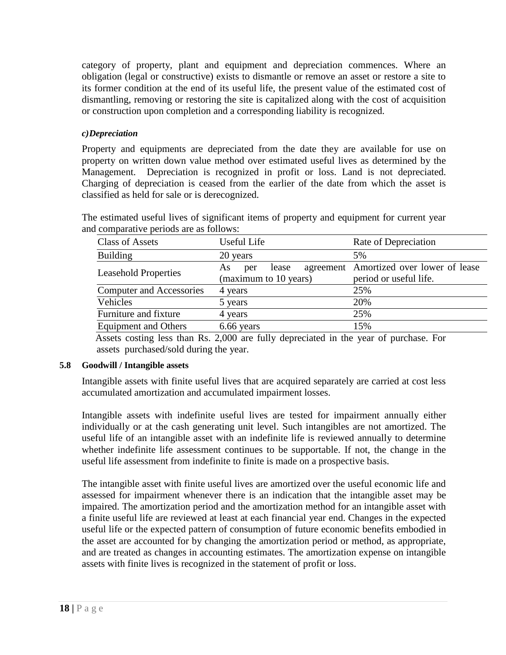category of property, plant and equipment and depreciation commences. Where an obligation (legal or constructive) exists to dismantle or remove an asset or restore a site to its former condition at the end of its useful life, the present value of the estimated cost of dismantling, removing or restoring the site is capitalized along with the cost of acquisition or construction upon completion and a corresponding liability is recognized.

## *c)Depreciation*

Property and equipments are depreciated from the date they are available for use on property on written down value method over estimated useful lives as determined by the Management. Depreciation is recognized in profit or loss. Land is not depreciated. Charging of depreciation is ceased from the earlier of the date from which the asset is classified as held for sale or is derecognized.

The estimated useful lives of significant items of property and equipment for current year and comparative periods are as follows:

| <b>Class of Assets</b>          | Useful Life                                  | Rate of Depreciation                                              |
|---------------------------------|----------------------------------------------|-------------------------------------------------------------------|
| <b>Building</b>                 | 20 years                                     | 5%                                                                |
| <b>Leasehold Properties</b>     | lease<br>As.<br>per<br>(maximum to 10 years) | agreement Amortized over lower of lease<br>period or useful life. |
| <b>Computer and Accessories</b> | 4 years                                      | 25%                                                               |
| Vehicles                        | 5 years                                      | 20%                                                               |
| Furniture and fixture           | 4 years                                      | 25%                                                               |
| <b>Equipment and Others</b>     | 6.66 years                                   | 15%                                                               |

 Assets costing less than Rs. 2,000 are fully depreciated in the year of purchase. For assets purchased/sold during the year.

#### **5.8 Goodwill / Intangible assets**

Intangible assets with finite useful lives that are acquired separately are carried at cost less accumulated amortization and accumulated impairment losses.

Intangible assets with indefinite useful lives are tested for impairment annually either individually or at the cash generating unit level. Such intangibles are not amortized. The useful life of an intangible asset with an indefinite life is reviewed annually to determine whether indefinite life assessment continues to be supportable. If not, the change in the useful life assessment from indefinite to finite is made on a prospective basis.

The intangible asset with finite useful lives are amortized over the useful economic life and assessed for impairment whenever there is an indication that the intangible asset may be impaired. The amortization period and the amortization method for an intangible asset with a finite useful life are reviewed at least at each financial year end. Changes in the expected useful life or the expected pattern of consumption of future economic benefits embodied in the asset are accounted for by changing the amortization period or method, as appropriate, and are treated as changes in accounting estimates. The amortization expense on intangible assets with finite lives is recognized in the statement of profit or loss.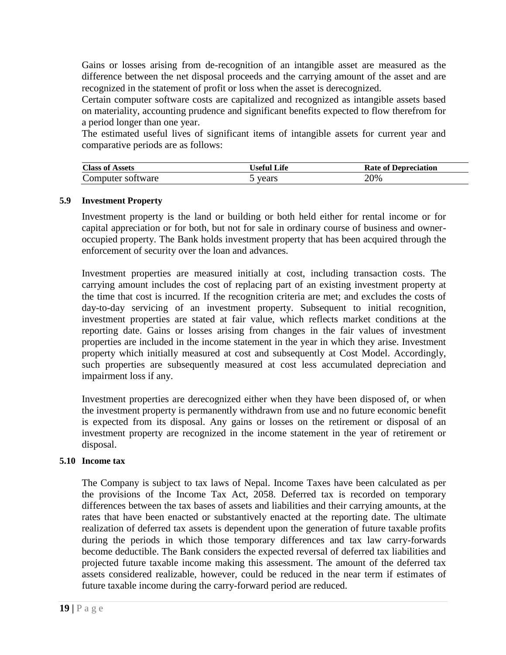Gains or losses arising from de-recognition of an intangible asset are measured as the difference between the net disposal proceeds and the carrying amount of the asset and are recognized in the statement of profit or loss when the asset is derecognized.

Certain computer software costs are capitalized and recognized as intangible assets based on materiality, accounting prudence and significant benefits expected to flow therefrom for a period longer than one year.

The estimated useful lives of significant items of intangible assets for current year and comparative periods are as follows:

| Class of<br>Assets | $\mathbf{I}$ $\mathbf{F}$ $\mathbf{F}$ $\mathbf{F}$ | <b>Rate of L</b><br>Depreciation |
|--------------------|-----------------------------------------------------|----------------------------------|
| Computer software_ | years                                               | 20%                              |

#### **5.9 Investment Property**

Investment property is the land or building or both held either for rental income or for capital appreciation or for both, but not for sale in ordinary course of business and owneroccupied property. The Bank holds investment property that has been acquired through the enforcement of security over the loan and advances.

Investment properties are measured initially at cost, including transaction costs. The carrying amount includes the cost of replacing part of an existing investment property at the time that cost is incurred. If the recognition criteria are met; and excludes the costs of day-to-day servicing of an investment property. Subsequent to initial recognition, investment properties are stated at fair value, which reflects market conditions at the reporting date. Gains or losses arising from changes in the fair values of investment properties are included in the income statement in the year in which they arise. Investment property which initially measured at cost and subsequently at Cost Model. Accordingly, such properties are subsequently measured at cost less accumulated depreciation and impairment loss if any.

Investment properties are derecognized either when they have been disposed of, or when the investment property is permanently withdrawn from use and no future economic benefit is expected from its disposal. Any gains or losses on the retirement or disposal of an investment property are recognized in the income statement in the year of retirement or disposal.

#### **5.10 Income tax**

The Company is subject to tax laws of Nepal. Income Taxes have been calculated as per the provisions of the Income Tax Act, 2058. Deferred tax is recorded on temporary differences between the tax bases of assets and liabilities and their carrying amounts, at the rates that have been enacted or substantively enacted at the reporting date. The ultimate realization of deferred tax assets is dependent upon the generation of future taxable profits during the periods in which those temporary differences and tax law carry-forwards become deductible. The Bank considers the expected reversal of deferred tax liabilities and projected future taxable income making this assessment. The amount of the deferred tax assets considered realizable, however, could be reduced in the near term if estimates of future taxable income during the carry-forward period are reduced.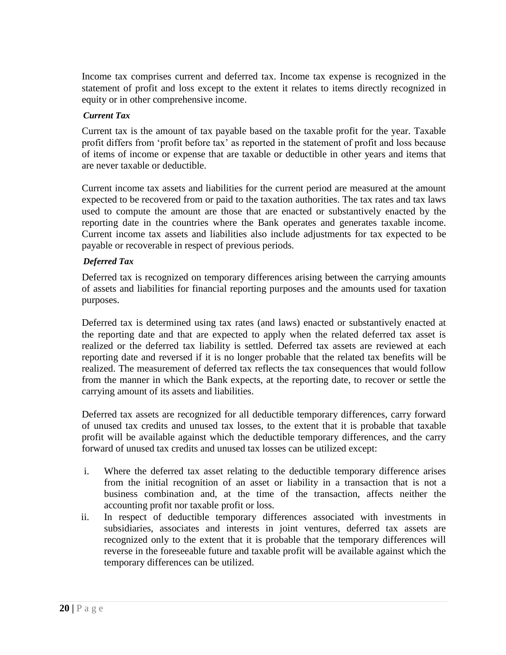Income tax comprises current and deferred tax. Income tax expense is recognized in the statement of profit and loss except to the extent it relates to items directly recognized in equity or in other comprehensive income.

#### *Current Tax*

Current tax is the amount of tax payable based on the taxable profit for the year. Taxable profit differs from "profit before tax" as reported in the statement of profit and loss because of items of income or expense that are taxable or deductible in other years and items that are never taxable or deductible.

Current income tax assets and liabilities for the current period are measured at the amount expected to be recovered from or paid to the taxation authorities. The tax rates and tax laws used to compute the amount are those that are enacted or substantively enacted by the reporting date in the countries where the Bank operates and generates taxable income. Current income tax assets and liabilities also include adjustments for tax expected to be payable or recoverable in respect of previous periods.

#### *Deferred Tax*

Deferred tax is recognized on temporary differences arising between the carrying amounts of assets and liabilities for financial reporting purposes and the amounts used for taxation purposes.

Deferred tax is determined using tax rates (and laws) enacted or substantively enacted at the reporting date and that are expected to apply when the related deferred tax asset is realized or the deferred tax liability is settled. Deferred tax assets are reviewed at each reporting date and reversed if it is no longer probable that the related tax benefits will be realized. The measurement of deferred tax reflects the tax consequences that would follow from the manner in which the Bank expects, at the reporting date, to recover or settle the carrying amount of its assets and liabilities.

Deferred tax assets are recognized for all deductible temporary differences, carry forward of unused tax credits and unused tax losses, to the extent that it is probable that taxable profit will be available against which the deductible temporary differences, and the carry forward of unused tax credits and unused tax losses can be utilized except:

- i. Where the deferred tax asset relating to the deductible temporary difference arises from the initial recognition of an asset or liability in a transaction that is not a business combination and, at the time of the transaction, affects neither the accounting profit nor taxable profit or loss.
- ii. In respect of deductible temporary differences associated with investments in subsidiaries, associates and interests in joint ventures, deferred tax assets are recognized only to the extent that it is probable that the temporary differences will reverse in the foreseeable future and taxable profit will be available against which the temporary differences can be utilized.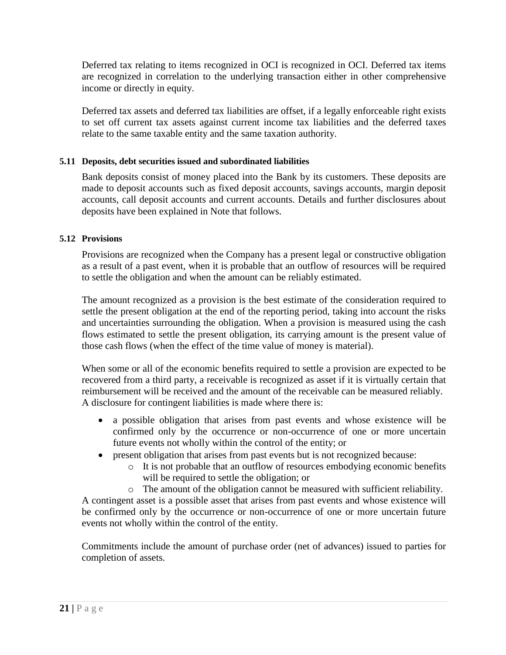Deferred tax relating to items recognized in OCI is recognized in OCI. Deferred tax items are recognized in correlation to the underlying transaction either in other comprehensive income or directly in equity.

Deferred tax assets and deferred tax liabilities are offset, if a legally enforceable right exists to set off current tax assets against current income tax liabilities and the deferred taxes relate to the same taxable entity and the same taxation authority.

## **5.11 Deposits, debt securities issued and subordinated liabilities**

Bank deposits consist of money placed into the Bank by its customers. These deposits are made to deposit accounts such as fixed deposit accounts, savings accounts, margin deposit accounts, call deposit accounts and current accounts. Details and further disclosures about deposits have been explained in Note that follows.

#### **5.12 Provisions**

Provisions are recognized when the Company has a present legal or constructive obligation as a result of a past event, when it is probable that an outflow of resources will be required to settle the obligation and when the amount can be reliably estimated.

The amount recognized as a provision is the best estimate of the consideration required to settle the present obligation at the end of the reporting period, taking into account the risks and uncertainties surrounding the obligation. When a provision is measured using the cash flows estimated to settle the present obligation, its carrying amount is the present value of those cash flows (when the effect of the time value of money is material).

When some or all of the economic benefits required to settle a provision are expected to be recovered from a third party, a receivable is recognized as asset if it is virtually certain that reimbursement will be received and the amount of the receivable can be measured reliably. A disclosure for contingent liabilities is made where there is:

- a possible obligation that arises from past events and whose existence will be confirmed only by the occurrence or non-occurrence of one or more uncertain future events not wholly within the control of the entity; or
- present obligation that arises from past events but is not recognized because:
	- o It is not probable that an outflow of resources embodying economic benefits will be required to settle the obligation; or

o The amount of the obligation cannot be measured with sufficient reliability. A contingent asset is a possible asset that arises from past events and whose existence will be confirmed only by the occurrence or non-occurrence of one or more uncertain future events not wholly within the control of the entity.

Commitments include the amount of purchase order (net of advances) issued to parties for completion of assets.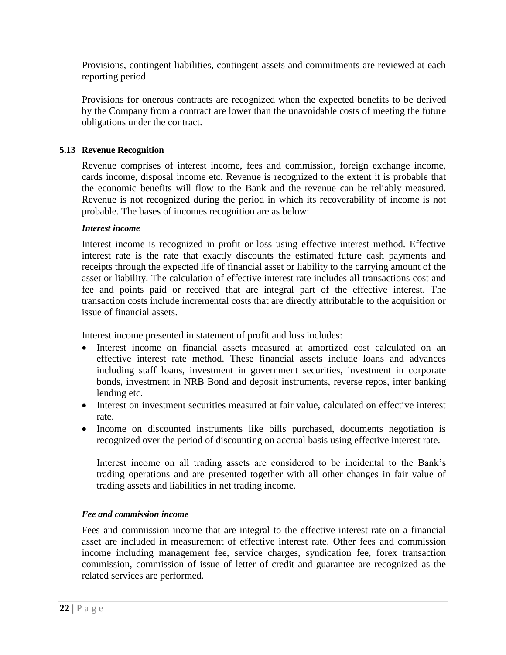Provisions, contingent liabilities, contingent assets and commitments are reviewed at each reporting period.

Provisions for onerous contracts are recognized when the expected benefits to be derived by the Company from a contract are lower than the unavoidable costs of meeting the future obligations under the contract.

## **5.13 Revenue Recognition**

Revenue comprises of interest income, fees and commission, foreign exchange income, cards income, disposal income etc. Revenue is recognized to the extent it is probable that the economic benefits will flow to the Bank and the revenue can be reliably measured. Revenue is not recognized during the period in which its recoverability of income is not probable. The bases of incomes recognition are as below:

#### *Interest income*

Interest income is recognized in profit or loss using effective interest method. Effective interest rate is the rate that exactly discounts the estimated future cash payments and receipts through the expected life of financial asset or liability to the carrying amount of the asset or liability. The calculation of effective interest rate includes all transactions cost and fee and points paid or received that are integral part of the effective interest. The transaction costs include incremental costs that are directly attributable to the acquisition or issue of financial assets.

Interest income presented in statement of profit and loss includes:

- Interest income on financial assets measured at amortized cost calculated on an effective interest rate method. These financial assets include loans and advances including staff loans, investment in government securities, investment in corporate bonds, investment in NRB Bond and deposit instruments, reverse repos, inter banking lending etc.
- Interest on investment securities measured at fair value, calculated on effective interest rate.
- Income on discounted instruments like bills purchased, documents negotiation is recognized over the period of discounting on accrual basis using effective interest rate.

Interest income on all trading assets are considered to be incidental to the Bank"s trading operations and are presented together with all other changes in fair value of trading assets and liabilities in net trading income.

#### *Fee and commission income*

Fees and commission income that are integral to the effective interest rate on a financial asset are included in measurement of effective interest rate. Other fees and commission income including management fee, service charges, syndication fee, forex transaction commission, commission of issue of letter of credit and guarantee are recognized as the related services are performed.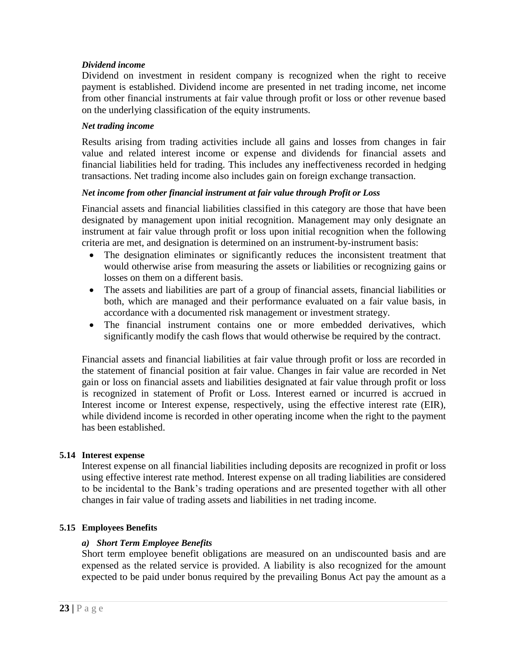#### *Dividend income*

Dividend on investment in resident company is recognized when the right to receive payment is established. Dividend income are presented in net trading income, net income from other financial instruments at fair value through profit or loss or other revenue based on the underlying classification of the equity instruments.

#### *Net trading income*

Results arising from trading activities include all gains and losses from changes in fair value and related interest income or expense and dividends for financial assets and financial liabilities held for trading. This includes any ineffectiveness recorded in hedging transactions. Net trading income also includes gain on foreign exchange transaction.

#### *Net income from other financial instrument at fair value through Profit or Loss*

Financial assets and financial liabilities classified in this category are those that have been designated by management upon initial recognition. Management may only designate an instrument at fair value through profit or loss upon initial recognition when the following criteria are met, and designation is determined on an instrument-by-instrument basis:

- The designation eliminates or significantly reduces the inconsistent treatment that would otherwise arise from measuring the assets or liabilities or recognizing gains or losses on them on a different basis.
- The assets and liabilities are part of a group of financial assets, financial liabilities or both, which are managed and their performance evaluated on a fair value basis, in accordance with a documented risk management or investment strategy.
- The financial instrument contains one or more embedded derivatives, which significantly modify the cash flows that would otherwise be required by the contract.

Financial assets and financial liabilities at fair value through profit or loss are recorded in the statement of financial position at fair value. Changes in fair value are recorded in Net gain or loss on financial assets and liabilities designated at fair value through profit or loss is recognized in statement of Profit or Loss. Interest earned or incurred is accrued in Interest income or Interest expense, respectively, using the effective interest rate (EIR), while dividend income is recorded in other operating income when the right to the payment has been established.

#### **5.14 Interest expense**

Interest expense on all financial liabilities including deposits are recognized in profit or loss using effective interest rate method. Interest expense on all trading liabilities are considered to be incidental to the Bank"s trading operations and are presented together with all other changes in fair value of trading assets and liabilities in net trading income.

#### **5.15 Employees Benefits**

#### *a) Short Term Employee Benefits*

Short term employee benefit obligations are measured on an undiscounted basis and are expensed as the related service is provided. A liability is also recognized for the amount expected to be paid under bonus required by the prevailing Bonus Act pay the amount as a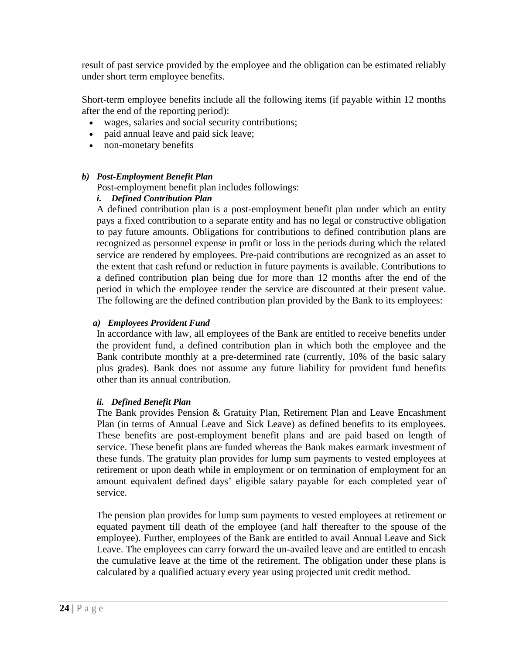result of past service provided by the employee and the obligation can be estimated reliably under short term employee benefits.

Short-term employee benefits include all the following items (if payable within 12 months after the end of the reporting period):

- wages, salaries and social security contributions;
- paid annual leave and paid sick leave;
- non-monetary benefits

#### *b) Post-Employment Benefit Plan*

Post-employment benefit plan includes followings:

#### *i. Defined Contribution Plan*

A defined contribution plan is a post-employment benefit plan under which an entity pays a fixed contribution to a separate entity and has no legal or constructive obligation to pay future amounts. Obligations for contributions to defined contribution plans are recognized as personnel expense in profit or loss in the periods during which the related service are rendered by employees. Pre-paid contributions are recognized as an asset to the extent that cash refund or reduction in future payments is available. Contributions to a defined contribution plan being due for more than 12 months after the end of the period in which the employee render the service are discounted at their present value. The following are the defined contribution plan provided by the Bank to its employees:

#### *a) Employees Provident Fund*

In accordance with law, all employees of the Bank are entitled to receive benefits under the provident fund, a defined contribution plan in which both the employee and the Bank contribute monthly at a pre-determined rate (currently, 10% of the basic salary plus grades). Bank does not assume any future liability for provident fund benefits other than its annual contribution.

#### *ii. Defined Benefit Plan*

The Bank provides Pension & Gratuity Plan, Retirement Plan and Leave Encashment Plan (in terms of Annual Leave and Sick Leave) as defined benefits to its employees. These benefits are post-employment benefit plans and are paid based on length of service. These benefit plans are funded whereas the Bank makes earmark investment of these funds. The gratuity plan provides for lump sum payments to vested employees at retirement or upon death while in employment or on termination of employment for an amount equivalent defined days" eligible salary payable for each completed year of service.

The pension plan provides for lump sum payments to vested employees at retirement or equated payment till death of the employee (and half thereafter to the spouse of the employee). Further, employees of the Bank are entitled to avail Annual Leave and Sick Leave. The employees can carry forward the un-availed leave and are entitled to encash the cumulative leave at the time of the retirement. The obligation under these plans is calculated by a qualified actuary every year using projected unit credit method.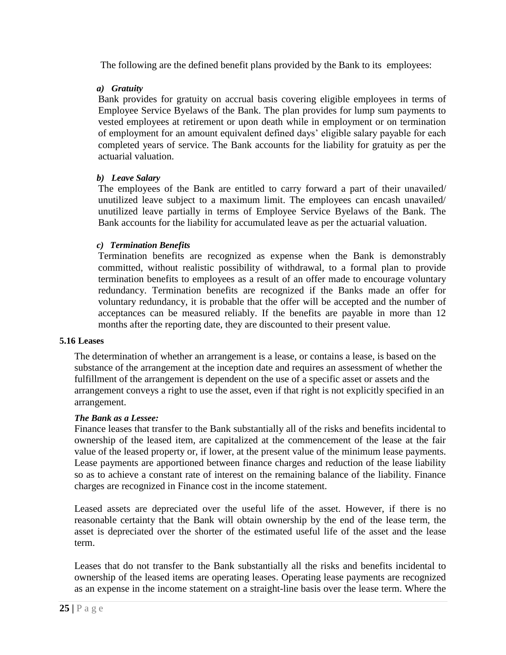The following are the defined benefit plans provided by the Bank to its employees:

#### *a) Gratuity*

Bank provides for gratuity on accrual basis covering eligible employees in terms of Employee Service Byelaws of the Bank. The plan provides for lump sum payments to vested employees at retirement or upon death while in employment or on termination of employment for an amount equivalent defined days" eligible salary payable for each completed years of service. The Bank accounts for the liability for gratuity as per the actuarial valuation.

#### *b) Leave Salary*

The employees of the Bank are entitled to carry forward a part of their unavailed/ unutilized leave subject to a maximum limit. The employees can encash unavailed/ unutilized leave partially in terms of Employee Service Byelaws of the Bank. The Bank accounts for the liability for accumulated leave as per the actuarial valuation.

#### *c) Termination Benefits*

Termination benefits are recognized as expense when the Bank is demonstrably committed, without realistic possibility of withdrawal, to a formal plan to provide termination benefits to employees as a result of an offer made to encourage voluntary redundancy. Termination benefits are recognized if the Banks made an offer for voluntary redundancy, it is probable that the offer will be accepted and the number of acceptances can be measured reliably. If the benefits are payable in more than 12 months after the reporting date, they are discounted to their present value.

#### **5.16 Leases**

The determination of whether an arrangement is a lease, or contains a lease, is based on the substance of the arrangement at the inception date and requires an assessment of whether the fulfillment of the arrangement is dependent on the use of a specific asset or assets and the arrangement conveys a right to use the asset, even if that right is not explicitly specified in an arrangement.

#### *The Bank as a Lessee:*

Finance leases that transfer to the Bank substantially all of the risks and benefits incidental to ownership of the leased item, are capitalized at the commencement of the lease at the fair value of the leased property or, if lower, at the present value of the minimum lease payments. Lease payments are apportioned between finance charges and reduction of the lease liability so as to achieve a constant rate of interest on the remaining balance of the liability. Finance charges are recognized in Finance cost in the income statement.

Leased assets are depreciated over the useful life of the asset. However, if there is no reasonable certainty that the Bank will obtain ownership by the end of the lease term, the asset is depreciated over the shorter of the estimated useful life of the asset and the lease term.

Leases that do not transfer to the Bank substantially all the risks and benefits incidental to ownership of the leased items are operating leases. Operating lease payments are recognized as an expense in the income statement on a straight-line basis over the lease term. Where the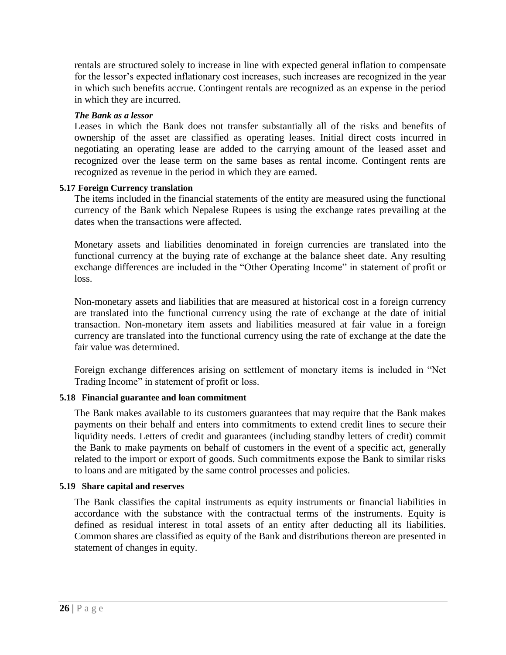rentals are structured solely to increase in line with expected general inflation to compensate for the lessor's expected inflationary cost increases, such increases are recognized in the year in which such benefits accrue. Contingent rentals are recognized as an expense in the period in which they are incurred.

#### *The Bank as a lessor*

Leases in which the Bank does not transfer substantially all of the risks and benefits of ownership of the asset are classified as operating leases. Initial direct costs incurred in negotiating an operating lease are added to the carrying amount of the leased asset and recognized over the lease term on the same bases as rental income. Contingent rents are recognized as revenue in the period in which they are earned.

#### **5.17 Foreign Currency translation**

The items included in the financial statements of the entity are measured using the functional currency of the Bank which Nepalese Rupees is using the exchange rates prevailing at the dates when the transactions were affected.

Monetary assets and liabilities denominated in foreign currencies are translated into the functional currency at the buying rate of exchange at the balance sheet date. Any resulting exchange differences are included in the "Other Operating Income" in statement of profit or loss.

Non-monetary assets and liabilities that are measured at historical cost in a foreign currency are translated into the functional currency using the rate of exchange at the date of initial transaction. Non-monetary item assets and liabilities measured at fair value in a foreign currency are translated into the functional currency using the rate of exchange at the date the fair value was determined.

Foreign exchange differences arising on settlement of monetary items is included in "Net Trading Income" in statement of profit or loss.

## **5.18 Financial guarantee and loan commitment**

The Bank makes available to its customers guarantees that may require that the Bank makes payments on their behalf and enters into commitments to extend credit lines to secure their liquidity needs. Letters of credit and guarantees (including standby letters of credit) commit the Bank to make payments on behalf of customers in the event of a specific act, generally related to the import or export of goods. Such commitments expose the Bank to similar risks to loans and are mitigated by the same control processes and policies.

## **5.19 Share capital and reserves**

The Bank classifies the capital instruments as equity instruments or financial liabilities in accordance with the substance with the contractual terms of the instruments. Equity is defined as residual interest in total assets of an entity after deducting all its liabilities. Common shares are classified as equity of the Bank and distributions thereon are presented in statement of changes in equity.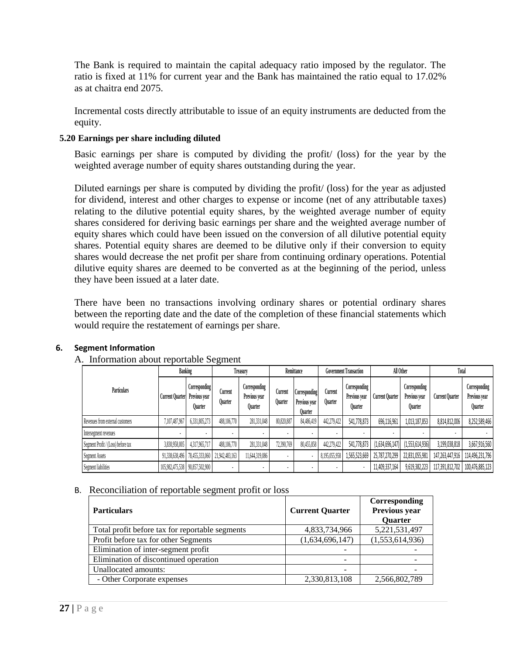The Bank is required to maintain the capital adequacy ratio imposed by the regulator. The ratio is fixed at 11% for current year and the Bank has maintained the ratio equal to 17.02% as at chaitra end 2075.

Incremental costs directly attributable to issue of an equity instruments are deducted from the equity.

## **5.20 Earnings per share including diluted**

Basic earnings per share is computed by dividing the profit/ (loss) for the year by the weighted average number of equity shares outstanding during the year.

Diluted earnings per share is computed by dividing the profit/ (loss) for the year as adjusted for dividend, interest and other charges to expense or income (net of any attributable taxes) relating to the dilutive potential equity shares, by the weighted average number of equity shares considered for deriving basic earnings per share and the weighted average number of equity shares which could have been issued on the conversion of all dilutive potential equity shares. Potential equity shares are deemed to be dilutive only if their conversion to equity shares would decrease the net profit per share from continuing ordinary operations. Potential dilutive equity shares are deemed to be converted as at the beginning of the period, unless they have been issued at a later date.

There have been no transactions involving ordinary shares or potential ordinary shares between the reporting date and the date of the completion of these financial statements which would require the restatement of earnings per share.

|                                    | Banking                        |                                        | Treasurv                  |                                                  | Remittance                |                                                  | <b>Government Transaction</b> |                                                  | All Other              |                                                  | Total                  |                                                  |
|------------------------------------|--------------------------------|----------------------------------------|---------------------------|--------------------------------------------------|---------------------------|--------------------------------------------------|-------------------------------|--------------------------------------------------|------------------------|--------------------------------------------------|------------------------|--------------------------------------------------|
| <b>Particulars</b>                 | Current Quarter Previous vear  | <b>Corresponding</b><br><b>Ouarter</b> | Current<br><b>Ouarter</b> | Corresponding<br>Previous year<br><b>Ouarter</b> | Current<br><b>Ouarter</b> | Corresponding<br>Previous vear<br><b>Ouarter</b> | Current<br><b>Ouarter</b>     | Corresponding<br>Previous vear<br><b>Ouarter</b> | <b>Current Quarter</b> | Corresponding<br>Previous vear<br><b>Quarter</b> | <b>Current Quarter</b> | Corresponding<br>Previous year<br><b>Ouarter</b> |
| Revenues from external customers   | 7,107,487,967                  | 6,331,805,273                          | 488,106,770               | 281,331,048                                      | 80,820,887                | 84,486,419                                       | 442,279,422                   | 541,778,873                                      | 696,116,961            | 1,013,187,853                                    | 8,814,812,006          | 8,252,589,466                                    |
| Intersegment revenues              |                                |                                        |                           |                                                  |                           |                                                  |                               |                                                  |                        |                                                  |                        |                                                  |
| Segment Profit / (Loss) before tax | 3,830,958,005                  | 4,317,965,717                          | 488,106,770               | 281,331,048                                      | 72,390,769                | 80,455,858                                       | 442,279,422                   | 541,778,873                                      | (1,634,696,147)        | (1,553,614,936)                                  | 3,199,038,818          | 3,667,916,560                                    |
| Segment Assets                     |                                | 91,338,638,496 78,455,333,060          | 21,942,483,163            | 11,644,319,086                                   |                           |                                                  | 8,195,055,958                 | 1,565,523,669                                    | 25,787,270,299         | 22,831,055,981                                   | 147,263,447,916        | 114,496,231,796                                  |
| Segment liabilities                | 105,982,475,538 90,857,502,900 |                                        |                           |                                                  |                           | ٠                                                | $\overline{\phantom{a}}$      |                                                  | 11,409,337,164         | 9,619,382,223                                    | 117,391,812,702        | 100,476,885,123                                  |

## **6. Segment Information**

## A. Information about reportable Segment

## B. Reconciliation of reportable segment profit or loss

| <b>Particulars</b>                              | <b>Current Quarter</b> | Corresponding<br>Previous year<br><b>Quarter</b> |
|-------------------------------------------------|------------------------|--------------------------------------------------|
| Total profit before tax for reportable segments | 4,833,734,966          | 5,221,531,497                                    |
| Profit before tax for other Segments            | (1,634,696,147)        | (1,553,614,936)                                  |
| Elimination of inter-segment profit             |                        |                                                  |
| Elimination of discontinued operation           |                        |                                                  |
| Unallocated amounts:                            |                        |                                                  |
| - Other Corporate expenses                      | 2,330,813,108          | 2,566,802,789                                    |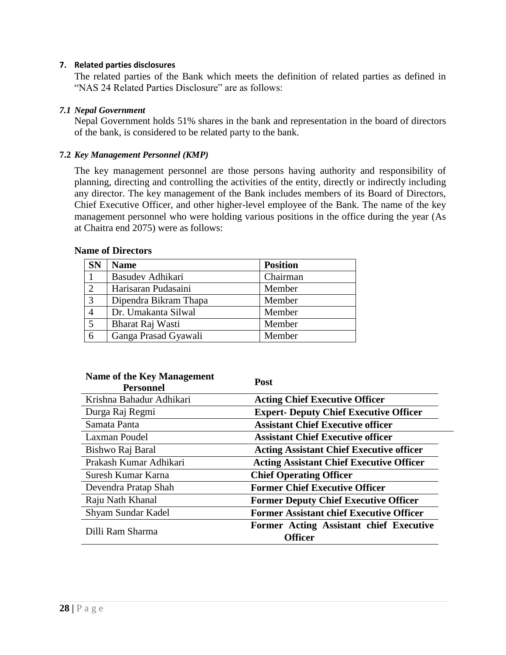#### **7. Related parties disclosures**

The related parties of the Bank which meets the definition of related parties as defined in "NAS 24 Related Parties Disclosure" are as follows:

#### *7.1 Nepal Government*

Nepal Government holds 51% shares in the bank and representation in the board of directors of the bank, is considered to be related party to the bank.

#### **7.2** *Key Management Personnel (KMP)*

The key management personnel are those persons having authority and responsibility of planning, directing and controlling the activities of the entity, directly or indirectly including any director. The key management of the Bank includes members of its Board of Directors, Chief Executive Officer, and other higher-level employee of the Bank. The name of the key management personnel who were holding various positions in the office during the year (As at Chaitra end 2075) were as follows:

| <b>SN</b> | <b>Name</b>           | <b>Position</b> |
|-----------|-----------------------|-----------------|
|           | Basudev Adhikari      | Chairman        |
| 2         | Harisaran Pudasaini   | Member          |
| 3         | Dipendra Bikram Thapa | Member          |
| 4         | Dr. Umakanta Silwal   | Member          |
| 5         | Bharat Raj Wasti      | Member          |
| 6         | Ganga Prasad Gyawali  | Member          |

#### **Name of Directors**

| Name of the Key Management<br><b>Personnel</b> | <b>Post</b>                                        |
|------------------------------------------------|----------------------------------------------------|
| Krishna Bahadur Adhikari                       | <b>Acting Chief Executive Officer</b>              |
| Durga Raj Regmi                                | <b>Expert- Deputy Chief Executive Officer</b>      |
| Samata Panta                                   | <b>Assistant Chief Executive officer</b>           |
| Laxman Poudel                                  | <b>Assistant Chief Executive officer</b>           |
| Bishwo Raj Baral                               | <b>Acting Assistant Chief Executive officer</b>    |
| Prakash Kumar Adhikari                         | <b>Acting Assistant Chief Executive Officer</b>    |
| Suresh Kumar Karna                             | <b>Chief Operating Officer</b>                     |
| Devendra Pratap Shah                           | <b>Former Chief Executive Officer</b>              |
| Raju Nath Khanal                               | <b>Former Deputy Chief Executive Officer</b>       |
| Shyam Sundar Kadel                             | <b>Former Assistant chief Executive Officer</b>    |
| Dilli Ram Sharma                               | Former Acting Assistant chief Executive<br>Officer |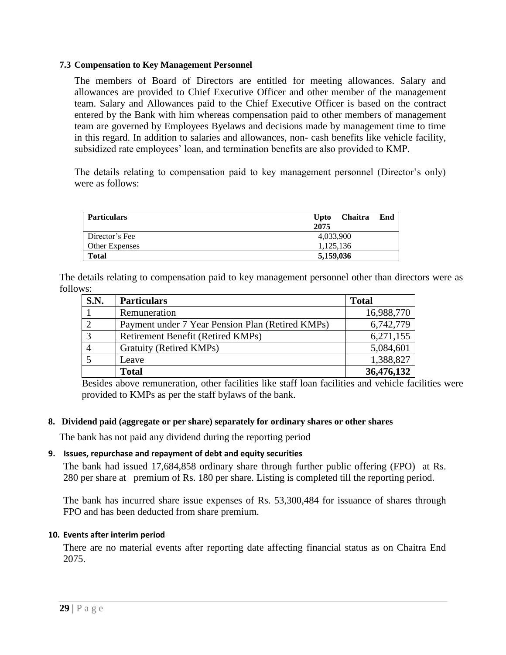#### **7.3 Compensation to Key Management Personnel**

The members of Board of Directors are entitled for meeting allowances. Salary and allowances are provided to Chief Executive Officer and other member of the management team. Salary and Allowances paid to the Chief Executive Officer is based on the contract entered by the Bank with him whereas compensation paid to other members of management team are governed by Employees Byelaws and decisions made by management time to time in this regard. In addition to salaries and allowances, non- cash benefits like vehicle facility, subsidized rate employees' loan, and termination benefits are also provided to KMP.

The details relating to compensation paid to key management personnel (Director's only) were as follows:

| <b>Particulars</b>    | <b>Upto</b> | <b>Chaitra</b> | End |
|-----------------------|-------------|----------------|-----|
|                       | 2075        |                |     |
| Director's Fee        | 4,033,900   |                |     |
| <b>Other Expenses</b> | 1,125,136   |                |     |
| <b>Total</b>          | 5,159,036   |                |     |

The details relating to compensation paid to key management personnel other than directors were as follows:

| <b>S.N.</b>    | <b>Particulars</b>                               | <b>Total</b> |
|----------------|--------------------------------------------------|--------------|
|                | Remuneration                                     | 16,988,770   |
|                | Payment under 7 Year Pension Plan (Retired KMPs) | 6,742,779    |
| $\overline{3}$ | Retirement Benefit (Retired KMPs)                | 6,271,155    |
|                | Gratuity (Retired KMPs)                          | 5,084,601    |
|                | Leave                                            | 1,388,827    |
|                | <b>Total</b>                                     | 36,476,132   |

Besides above remuneration, other facilities like staff loan facilities and vehicle facilities were provided to KMPs as per the staff bylaws of the bank.

#### **8. Dividend paid (aggregate or per share) separately for ordinary shares or other shares**

The bank has not paid any dividend during the reporting period

#### **9. Issues, repurchase and repayment of debt and equity securities**

The bank had issued 17,684,858 ordinary share through further public offering (FPO) at Rs. 280 per share at premium of Rs. 180 per share. Listing is completed till the reporting period.

The bank has incurred share issue expenses of Rs. 53,300,484 for issuance of shares through FPO and has been deducted from share premium.

#### **10. Events after interim period**

There are no material events after reporting date affecting financial status as on Chaitra End 2075.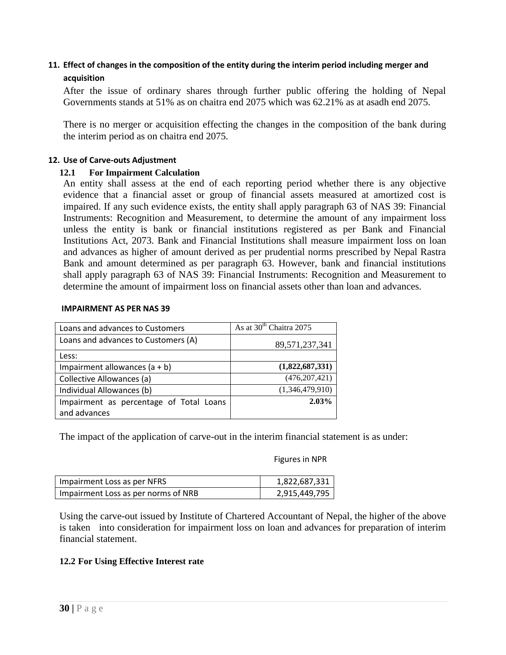## **11. Effect of changes in the composition of the entity during the interim period including merger and acquisition**

After the issue of ordinary shares through further public offering the holding of Nepal Governments stands at 51% as on chaitra end 2075 which was 62.21% as at asadh end 2075.

There is no merger or acquisition effecting the changes in the composition of the bank during the interim period as on chaitra end 2075.

#### **12. Use of Carve-outs Adjustment**

#### **12.1 For Impairment Calculation**

An entity shall assess at the end of each reporting period whether there is any objective evidence that a financial asset or group of financial assets measured at amortized cost is impaired. If any such evidence exists, the entity shall apply paragraph 63 of NAS 39: Financial Instruments: Recognition and Measurement, to determine the amount of any impairment loss unless the entity is bank or financial institutions registered as per Bank and Financial Institutions Act, 2073. Bank and Financial Institutions shall measure impairment loss on loan and advances as higher of amount derived as per prudential norms prescribed by Nepal Rastra Bank and amount determined as per paragraph 63. However, bank and financial institutions shall apply paragraph 63 of NAS 39: Financial Instruments: Recognition and Measurement to determine the amount of impairment loss on financial assets other than loan and advances.

#### **IMPAIRMENT AS PER NAS 39**

| Loans and advances to Customers         | As at 30 <sup>th</sup> Chaitra 2075 |
|-----------------------------------------|-------------------------------------|
| Loans and advances to Customers (A)     | 89,571,237,341                      |
| Less:                                   |                                     |
| Impairment allowances $(a + b)$         | (1,822,687,331)                     |
| Collective Allowances (a)               | (476, 207, 421)                     |
| Individual Allowances (b)               | (1,346,479,910)                     |
| Impairment as percentage of Total Loans | 2.03%                               |
| and advances                            |                                     |

The impact of the application of carve-out in the interim financial statement is as under:

Figures in NPR

| Impairment Loss as per NFRS         | 1,822,687,331 |
|-------------------------------------|---------------|
| Impairment Loss as per norms of NRB | 2,915,449,795 |

Using the carve-out issued by Institute of Chartered Accountant of Nepal, the higher of the above is taken into consideration for impairment loss on loan and advances for preparation of interim financial statement.

#### **12.2 For Using Effective Interest rate**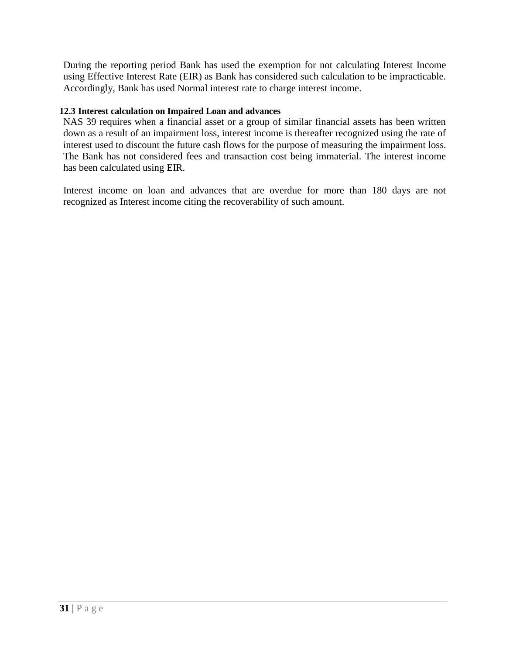During the reporting period Bank has used the exemption for not calculating Interest Income using Effective Interest Rate (EIR) as Bank has considered such calculation to be impracticable. Accordingly, Bank has used Normal interest rate to charge interest income.

#### **12.3 Interest calculation on Impaired Loan and advances**

NAS 39 requires when a financial asset or a group of similar financial assets has been written down as a result of an impairment loss, interest income is thereafter recognized using the rate of interest used to discount the future cash flows for the purpose of measuring the impairment loss. The Bank has not considered fees and transaction cost being immaterial. The interest income has been calculated using EIR.

Interest income on loan and advances that are overdue for more than 180 days are not recognized as Interest income citing the recoverability of such amount.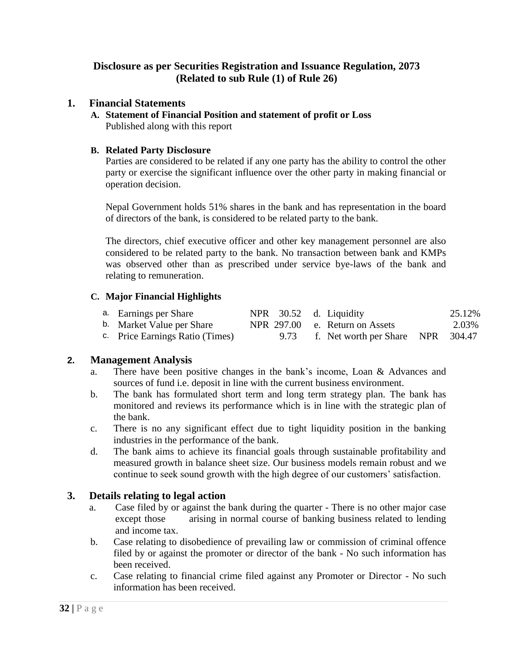## **Disclosure as per Securities Registration and Issuance Regulation, 2073 (Related to sub Rule (1) of Rule 26)**

## **1. Financial Statements**

**A. Statement of Financial Position and statement of profit or Loss** Published along with this report

## **B. Related Party Disclosure**

Parties are considered to be related if any one party has the ability to control the other party or exercise the significant influence over the other party in making financial or operation decision.

Nepal Government holds 51% shares in the bank and has representation in the board of directors of the bank, is considered to be related party to the bank.

The directors, chief executive officer and other key management personnel are also considered to be related party to the bank. No transaction between bank and KMPs was observed other than as prescribed under service bye-laws of the bank and relating to remuneration.

## **C. Major Financial Highlights**

| a. Earnings per Share           | NPR 30.52 d. Liquidity |                                        | 25.12% |
|---------------------------------|------------------------|----------------------------------------|--------|
| b. Market Value per Share       |                        | NPR 297.00 e. Return on Assets         | 2.03%  |
| c. Price Earnings Ratio (Times) |                        | 9.73 f. Net worth per Share NPR 304.47 |        |

## **2. Management Analysis**

- a. There have been positive changes in the bank"s income, Loan & Advances and sources of fund i.e. deposit in line with the current business environment.
- b. The bank has formulated short term and long term strategy plan. The bank has monitored and reviews its performance which is in line with the strategic plan of the bank.
- c. There is no any significant effect due to tight liquidity position in the banking industries in the performance of the bank.
- d. The bank aims to achieve its financial goals through sustainable profitability and measured growth in balance sheet size. Our business models remain robust and we continue to seek sound growth with the high degree of our customers' satisfaction.

## **3. Details relating to legal action**

- a. Case filed by or against the bank during the quarter There is no other major case except those arising in normal course of banking business related to lending and income tax.
- b. Case relating to disobedience of prevailing law or commission of criminal offence filed by or against the promoter or director of the bank - No such information has been received.
- c. Case relating to financial crime filed against any Promoter or Director No such information has been received.